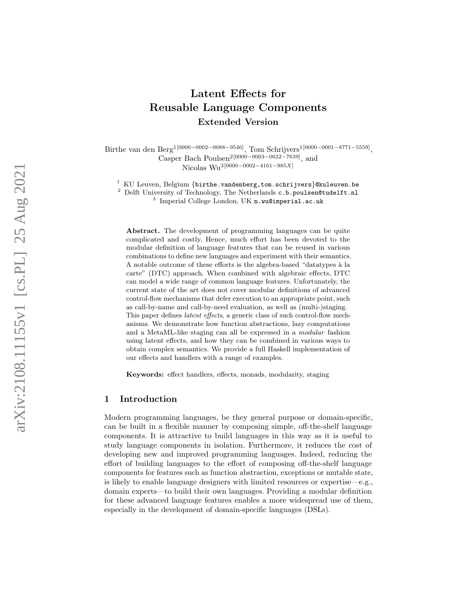# Latent Effects for Reusable Language Components Extended Version

Birthe van den Berg<sup>1</sup><sup>[0000–0002–0088–9546]</sup>, Tom Schrijvers<sup>1</sup><sup>[0000–0001–8771–5559]</sup>, Casper Bach Poulsen<sup>2[0000–0003–0622–7639]</sup>, and Nicolas Wu<sup>3[0000–0002–4161–985X]</sup>

 $^1$  KU Leuven, Belgium {birthe.vandenberg,tom.schrijvers}@kuleuven.be

<sup>2</sup> Delft University of Technology, The Netherlands c.b.poulsen@tudelft.nl  $^3$  Imperial College London, UK  ${\tt n}$ .wu@imperial.ac.uk

Abstract. The development of programming languages can be quite complicated and costly. Hence, much effort has been devoted to the modular definition of language features that can be reused in various combinations to define new languages and experiment with their semantics. A notable outcome of these efforts is the algebra-based "datatypes à la carte" (DTC) approach. When combined with algebraic effects, DTC can model a wide range of common language features. Unfortunately, the current state of the art does not cover modular definitions of advanced control-flow mechanisms that defer execution to an appropriate point, such as call-by-name and call-by-need evaluation, as well as (multi-)staging. This paper defines *latent effects*, a generic class of such control-flow mechanisms. We demonstrate how function abstractions, lazy computations and a MetaML-like staging can all be expressed in a modular fashion using latent effects, and how they can be combined in various ways to obtain complex semantics. We provide a full Haskell implementation of our effects and handlers with a range of examples.

Keywords: effect handlers, effects, monads, modularity, staging

# 1 Introduction

Modern programming languages, be they general purpose or domain-specific, can be built in a flexible manner by composing simple, off-the-shelf language components. It is attractive to build languages in this way as it is useful to study language components in isolation. Furthermore, it reduces the cost of developing new and improved programming languages. Indeed, reducing the effort of building languages to the effort of composing off-the-shelf language components for features such as function abstraction, exceptions or mutable state, is likely to enable language designers with limited resources or expertise—e.g., domain experts—to build their own languages. Providing a modular definition for these advanced language features enables a more widespread use of them, especially in the development of domain-specific languages (DSLs).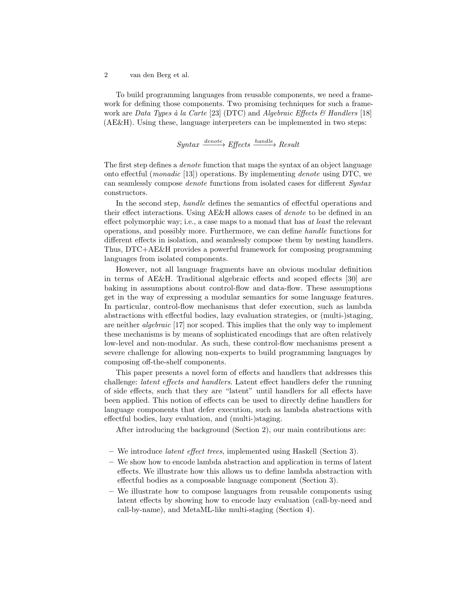To build programming languages from reusable components, we need a framework for defining those components. Two promising techniques for such a framework are Data Types à la Carte [23] (DTC) and Algebraic Effects  $\mathcal C$  Handlers [18] (AE&H). Using these, language interpreters can be implemented in two steps:

$$
Syn tax \xrightarrow{denote} Effects \xrightarrow{handle} Result
$$

The first step defines a *denote* function that maps the syntax of an object language onto effectful (monadic [13]) operations. By implementing denote using DTC, we can seamlessly compose denote functions from isolated cases for different Syntax constructors.

In the second step, *handle* defines the semantics of effectful operations and their effect interactions. Using AE&H allows cases of denote to be defined in an effect polymorphic way; i.e., a case maps to a monad that has at least the relevant operations, and possibly more. Furthermore, we can define handle functions for different effects in isolation, and seamlessly compose them by nesting handlers. Thus, DTC+AE&H provides a powerful framework for composing programming languages from isolated components.

However, not all language fragments have an obvious modular definition in terms of AE&H. Traditional algebraic effects and scoped effects [30] are baking in assumptions about control-flow and data-flow. These assumptions get in the way of expressing a modular semantics for some language features. In particular, control-flow mechanisms that defer execution, such as lambda abstractions with effectful bodies, lazy evaluation strategies, or (multi-)staging, are neither algebraic [17] nor scoped. This implies that the only way to implement these mechanisms is by means of sophisticated encodings that are often relatively low-level and non-modular. As such, these control-flow mechanisms present a severe challenge for allowing non-experts to build programming languages by composing off-the-shelf components.

This paper presents a novel form of effects and handlers that addresses this challenge: latent effects and handlers. Latent effect handlers defer the running of side effects, such that they are "latent" until handlers for all effects have been applied. This notion of effects can be used to directly define handlers for language components that defer execution, such as lambda abstractions with effectful bodies, lazy evaluation, and (multi-)staging.

After introducing the background (Section 2), our main contributions are:

- $-$  We introduce *latent effect trees*, implemented using Haskell (Section 3).
- We show how to encode lambda abstraction and application in terms of latent effects. We illustrate how this allows us to define lambda abstraction with effectful bodies as a composable language component (Section 3).
- We illustrate how to compose languages from reusable components using latent effects by showing how to encode lazy evaluation (call-by-need and call-by-name), and MetaML-like multi-staging (Section 4).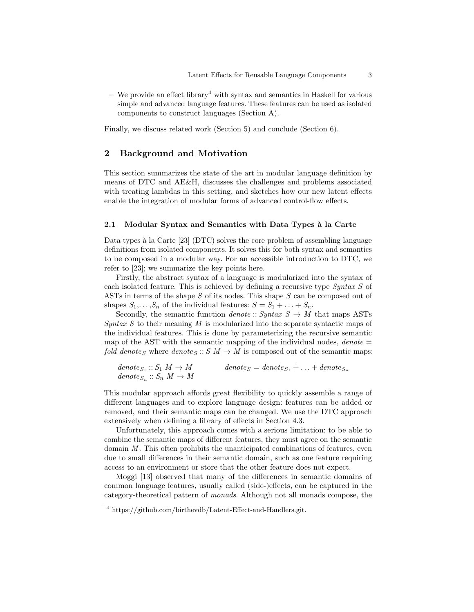– We provide an effect library<sup>4</sup> with syntax and semantics in Haskell for various simple and advanced language features. These features can be used as isolated components to construct languages (Section A).

Finally, we discuss related work (Section 5) and conclude (Section 6).

# 2 Background and Motivation

This section summarizes the state of the art in modular language definition by means of DTC and AE&H, discusses the challenges and problems associated with treating lambdas in this setting, and sketches how our new latent effects enable the integration of modular forms of advanced control-flow effects.

### 2.1 Modular Syntax and Semantics with Data Types à la Carte

Data types à la Carte  $[23]$  (DTC) solves the core problem of assembling language definitions from isolated components. It solves this for both syntax and semantics to be composed in a modular way. For an accessible introduction to DTC, we refer to [23]; we summarize the key points here.

Firstly, the abstract syntax of a language is modularized into the syntax of each isolated feature. This is achieved by defining a recursive type Syntax S of ASTs in terms of the shape S of its nodes. This shape S can be composed out of shapes  $S_1, \ldots, S_n$  of the individual features:  $S = S_1 + \ldots + S_n$ .

Secondly, the semantic function *denote* ::  $Syn tax S \rightarrow M$  that maps ASTs  $Syntax S$  to their meaning M is modularized into the separate syntactic maps of the individual features. This is done by parameterizing the recursive semantic map of the AST with the semantic mapping of the individual nodes,  $denote$ fold denotes where denotes  $: S M \to M$  is composed out of the semantic maps:

 $denotes_1 :: S_1 M \rightarrow M$  $denotes_n :: S_n M \to M$  $denotes = denote_{S_1} + ... + denote_{S_n}$ 

This modular approach affords great flexibility to quickly assemble a range of different languages and to explore language design: features can be added or removed, and their semantic maps can be changed. We use the DTC approach extensively when defining a library of effects in Section 4.3.

Unfortunately, this approach comes with a serious limitation: to be able to combine the semantic maps of different features, they must agree on the semantic domain  $M$ . This often prohibits the unanticipated combinations of features, even due to small differences in their semantic domain, such as one feature requiring access to an environment or store that the other feature does not expect.

Moggi [13] observed that many of the differences in semantic domains of common language features, usually called (side-)effects, can be captured in the category-theoretical pattern of monads. Although not all monads compose, the

<sup>4</sup> https://github.com/birthevdb/Latent-Effect-and-Handlers.git.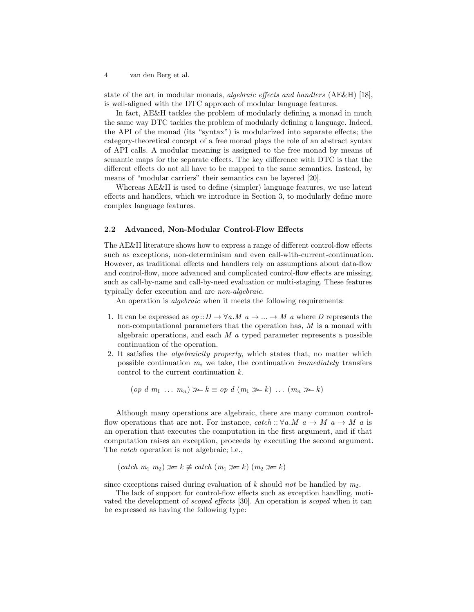state of the art in modular monads, algebraic effects and handlers (AE&H) [18], is well-aligned with the DTC approach of modular language features.

In fact, AE&H tackles the problem of modularly defining a monad in much the same way DTC tackles the problem of modularly defining a language. Indeed, the API of the monad (its "syntax") is modularized into separate effects; the category-theoretical concept of a free monad plays the role of an abstract syntax of API calls. A modular meaning is assigned to the free monad by means of semantic maps for the separate effects. The key difference with DTC is that the different effects do not all have to be mapped to the same semantics. Instead, by means of "modular carriers" their semantics can be layered [20].

Whereas AE&H is used to define (simpler) language features, we use latent effects and handlers, which we introduce in Section 3, to modularly define more complex language features.

### 2.2 Advanced, Non-Modular Control-Flow Effects

The AE&H literature shows how to express a range of different control-flow effects such as exceptions, non-determinism and even call-with-current-continuation. However, as traditional effects and handlers rely on assumptions about data-flow and control-flow, more advanced and complicated control-flow effects are missing, such as call-by-name and call-by-need evaluation or multi-staging. These features typically defer execution and are non-algebraic.

An operation is *algebraic* when it meets the following requirements:

- 1. It can be expressed as  $op::D \to \forall a.M \ a \to ... \to M \ a$  where D represents the non-computational parameters that the operation has,  $M$  is a monad with algebraic operations, and each  $M$  a typed parameter represents a possible continuation of the operation.
- 2. It satisfies the algebraicity property, which states that, no matter which possible continuation  $m_i$  we take, the continuation *immediately* transfers control to the current continuation k.

 $(op d m_1 ... m_n) \gg k \equiv op d (m_1 \gg k) ... (m_n \gg k)$ 

Although many operations are algebraic, there are many common controlflow operations that are not. For instance, catch ::  $\forall a.M \ a \rightarrow M \ a$  is an operation that executes the computation in the first argument, and if that computation raises an exception, proceeds by executing the second argument. The *catch* operation is not algebraic; i.e.,

 $(\text{catch } m_1 m_2) \gg k \not\equiv \text{catch } (m_1 \gg k)$   $(m_2 \gg k)$ 

since exceptions raised during evaluation of  $k$  should not be handled by  $m_2$ .

The lack of support for control-flow effects such as exception handling, motivated the development of scoped effects [30]. An operation is scoped when it can be expressed as having the following type: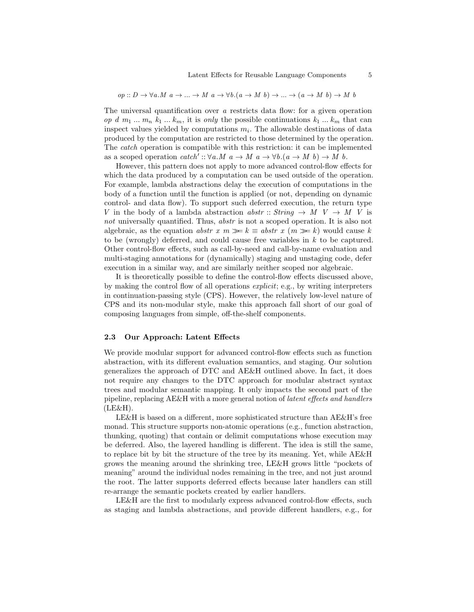$$
op: D \to \forall a.M \ a \to \dots \to M \ a \to \forall b.(a \to M \ b) \to \dots \to (a \to M \ b) \to M \ b
$$

The universal quantification over  $a$  restricts data flow: for a given operation op d  $m_1 \ldots m_n$   $k_1 \ldots k_m$ , it is only the possible continuations  $k_1 \ldots k_m$  that can inspect values yielded by computations  $m_i$ . The allowable destinations of data produced by the computation are restricted to those determined by the operation. The catch operation is compatible with this restriction: it can be implemented as a scoped operation *catch'* ::  $\forall a.M \ a \rightarrow M \ a \rightarrow \forall b.(a \rightarrow M \ b) \rightarrow M \ b$ .

However, this pattern does not apply to more advanced control-flow effects for which the data produced by a computation can be used outside of the operation. For example, lambda abstractions delay the execution of computations in the body of a function until the function is applied (or not, depending on dynamic control- and data flow). To support such deferred execution, the return type V in the body of a lambda abstraction abstr :: String  $\rightarrow M$  V  $\rightarrow M$  V is not universally quantified. Thus, abstr is not a scoped operation. It is also not algebraic, as the equation abstr x  $m \gg k \equiv abstr \; x \; (m \gg k)$  would cause k to be (wrongly) deferred, and could cause free variables in k to be captured. Other control-flow effects, such as call-by-need and call-by-name evaluation and multi-staging annotations for (dynamically) staging and unstaging code, defer execution in a similar way, and are similarly neither scoped nor algebraic.

It is theoretically possible to define the control-flow effects discussed above, by making the control flow of all operations explicit; e.g., by writing interpreters in continuation-passing style (CPS). However, the relatively low-level nature of CPS and its non-modular style, make this approach fall short of our goal of composing languages from simple, off-the-shelf components.

### 2.3 Our Approach: Latent Effects

We provide modular support for advanced control-flow effects such as function abstraction, with its different evaluation semantics, and staging. Our solution generalizes the approach of DTC and AE&H outlined above. In fact, it does not require any changes to the DTC approach for modular abstract syntax trees and modular semantic mapping. It only impacts the second part of the pipeline, replacing AE&H with a more general notion of latent effects and handlers  $(LE\&H).$ 

LE&H is based on a different, more sophisticated structure than AE&H's free monad. This structure supports non-atomic operations (e.g., function abstraction, thunking, quoting) that contain or delimit computations whose execution may be deferred. Also, the layered handling is different. The idea is still the same, to replace bit by bit the structure of the tree by its meaning. Yet, while AE&H grows the meaning around the shrinking tree, LE&H grows little "pockets of meaning" around the individual nodes remaining in the tree, and not just around the root. The latter supports deferred effects because later handlers can still re-arrange the semantic pockets created by earlier handlers.

LE&H are the first to modularly express advanced control-flow effects, such as staging and lambda abstractions, and provide different handlers, e.g., for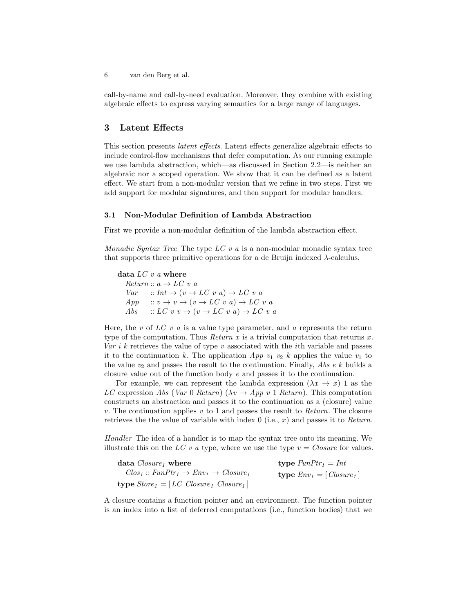call-by-name and call-by-need evaluation. Moreover, they combine with existing algebraic effects to express varying semantics for a large range of languages.

# 3 Latent Effects

This section presents latent effects. Latent effects generalize algebraic effects to include control-flow mechanisms that defer computation. As our running example we use lambda abstraction, which—as discussed in Section 2.2—is neither an algebraic nor a scoped operation. We show that it can be defined as a latent effect. We start from a non-modular version that we refine in two steps. First we add support for modular signatures, and then support for modular handlers.

### 3.1 Non-Modular Definition of Lambda Abstraction

First we provide a non-modular definition of the lambda abstraction effect.

*Monadic Syntax Tree* The type  $LC$  v a is a non-modular monadic syntax tree that supports three primitive operations for a de Bruijn indexed  $\lambda$ -calculus.

#### data  $LC$  v a where

 $Return :: a \rightarrow LC \, v \, a$  $Var$  ::  $Int \rightarrow (v \rightarrow LC \ v \ a) \rightarrow LC \ v \ a$  $App \n:: v \rightarrow v \rightarrow (v \rightarrow LC \ v \ a) \rightarrow LC \ v \ a$ Abs  $\ :: LC \ v \ v \rightarrow (v \rightarrow LC \ v \ a) \rightarrow LC \ v \ a$ 

Here, the v of LC v a is a value type parameter, and a represents the return type of the computation. Thus  $Return x$  is a trivial computation that returns  $x$ . Var i k retrieves the value of type v associated with the *i*th variable and passes it to the continuation k. The application  $App\ v_1\ v_2\ k$  applies the value  $v_1$  to the value  $v_2$  and passes the result to the continuation. Finally, Abs e k builds a closure value out of the function body e and passes it to the continuation.

For example, we can represent the lambda expression  $(\lambda x \rightarrow x)$  1 as the LC expression Abs (Var 0 Return) ( $\lambda v \rightarrow App \ v 1$  Return). This computation constructs an abstraction and passes it to the continuation as a (closure) value v. The continuation applies v to 1 and passes the result to  $Return$ . The closure retrieves the the value of variable with index  $0$  (i.e.,  $x$ ) and passes it to Return.

Handler The idea of a handler is to map the syntax tree onto its meaning. We illustrate this on the LC v a type, where we use the type  $v = Closure$  for values.

| data $Closuret$ where                                            | type $FunPtr_1 = Int$             |
|------------------------------------------------------------------|-----------------------------------|
| $Clos_1 :: FunPtr_1 \rightarrow Env_1 \rightarrow Closure_1$     | <b>type</b> $Env_1 = [Closure_1]$ |
| <b>type</b> $Store_1 = [LC \text{ Closure}_1 \text{ Closure}_1]$ |                                   |

A closure contains a function pointer and an environment. The function pointer is an index into a list of deferred computations (i.e., function bodies) that we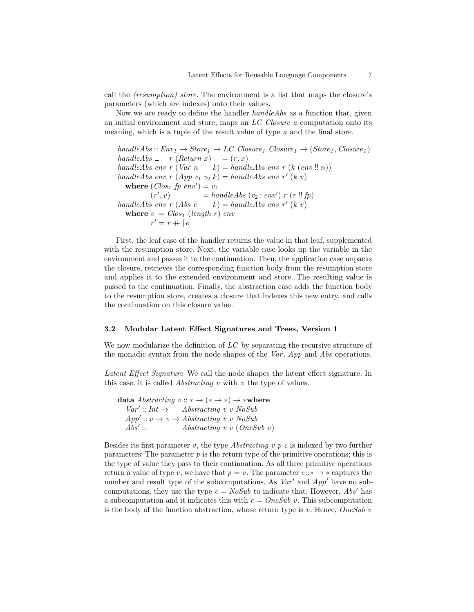call the (resumption) store. The environment is a list that maps the closure's parameters (which are indexes) onto their values.

Now we are ready to define the handler *handleAbs* as a function that, given an initial environment and store, maps an  $LC$  Closure a computation onto its meaning, which is a tuple of the result value of type a and the final store.

```
handleAbs::Env_1 \rightarrow Store_1 \rightarrow LCClosure_1 Closure_1 \rightarrow (Store_1, Closure_1)handleAbs _ r (Return x) = (r, x)handleAbs env r (Var n k) = handleAbs env r (k (env !! n))
handleAbs env r (App v_1 v_2 k) = handleAbs env r' (k v)where (Clos_1 f p env') = v_1(r^{\prime}% r^{\prime})=\sum_{r^{\prime}=0}^{\infty}r^{\prime}r^{\prime}, v) = handleAbs (v_2 : env') r (r!! fp)
handleAbs env r (Abs e k) = handleAbs env r' (k v)where v = Clos_1 (length r) env
            r' = r + [e]
```
First, the leaf case of the handler returns the value in that leaf, supplemented with the resumption store. Next, the variable case looks up the variable in the environment and passes it to the continuation. Then, the application case unpacks the closure, retrieves the corresponding function body from the resumption store and applies it to the extended environment and store. The resulting value is passed to the continuation. Finally, the abstraction case adds the function body to the resumption store, creates a closure that indexes this new entry, and calls the continuation on this closure value.

### 3.2 Modular Latent Effect Signatures and Trees, Version 1

We now modularize the definition of  $LC$  by separating the recursive structure of the monadic syntax from the node shapes of the *Var*,  $App$  and  $Abs$  operations.

Latent Effect Signature We call the node shapes the latent effect signature. In this case, it is called *Abstracting v* with  $v$  the type of values.

data Abstracting  $v :: * \rightarrow (* \rightarrow *) \rightarrow *$  where  $Var' :: Int \rightarrow$ Abstracting v v NoSub  $App': v \to v \to Abstracting \ v \ v \ NoSub$  $Abs' ::$ Abstracting v v (OneSub v)

Besides its first parameter v, the type *Abstracting v p c* is indexed by two further parameters: The parameter  $p$  is the return type of the primitive operations; this is the type of value they pass to their continuation. As all three primitive operations return a value of type v, we have that  $p = v$ . The parameter  $c::* \rightarrow *$  captures the number and result type of the subcomputations. As  $Var'$  and  $App'$  have no subcomputations, they use the type  $c = NoSub$  to indicate that. However, Abs' has a subcomputation and it indicates this with  $c = OneSub$  v. This subcomputation is the body of the function abstraction, whose return type is  $v$ . Hence,  $OneSub$  v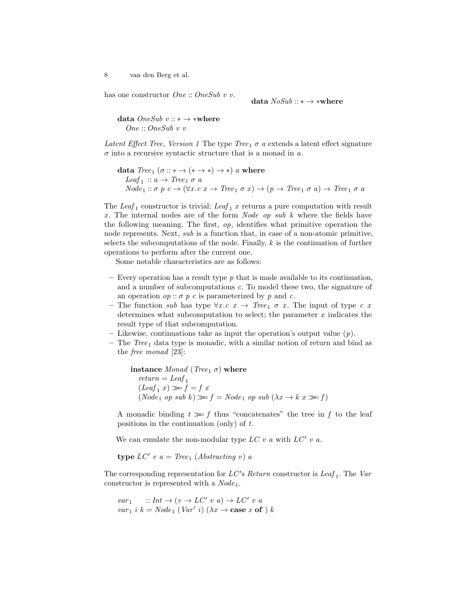has one constructor  $One::OneSub$  v.

data  $NoSub :: * \rightarrow *where$ 

data  $OneSub$  v :: \* → \*where One :: OneSub v v

Latent Effect Tree, Version 1 The type Tree<sub>1</sub>  $\sigma$  a extends a latent effect signature  $\sigma$  into a recursive syntactic structure that is a monad in a.

data  $Tree_1 (\sigma :: * \rightarrow (* \rightarrow *) \rightarrow *) a$  where  $Leaf_1 :: a \rightarrow Tree_1 \sigma a$  $Node_1 :: \sigma p \ c \rightarrow (\forall x.c \ x \rightarrow Tree_1 \ \sigma x) \rightarrow (p \rightarrow Tree_1 \ \sigma a) \rightarrow Tree_1 \ \sigma a$ 

The Leaf<sub>1</sub> constructor is trivial; Leaf<sub>1</sub> x returns a pure computation with result x. The internal nodes are of the form  $Node$  op sub k where the fields have the following meaning. The first,  $op$ , identifies what primitive operation the node represents. Next, sub is a function that, in case of a non-atomic primitive, selects the subcomputations of the node. Finally,  $k$  is the continuation of further operations to perform after the current one.

Some notable characteristics are as follows:

- Every operation has a result type  $p$  that is made available to its continuation, and a number of subcomputations c. To model these two, the signature of an operation  $op:: \sigma p c$  is parameterized by p and c.
- The function sub has type  $\forall x.c \ x \rightarrow Tree_1 \ \sigma \ x$ . The input of type c x determines what subcomputation to select; the parameter  $x$  indicates the result type of that subcomputation.
- Likewise, continuations take as input the operation's output value  $(p)$ .
- The  $Tree<sub>1</sub>$  data type is monadic, with a similar notion of return and bind as the free monad [23]:

instance Monad (Tree<sub>1</sub>  $\sigma$ ) where  $return = Left_1$  $(Leaf_1 x) \gg f = f x$  $(Node_1 op sub k) \gg f = Node_1 op sub (\lambda x \rightarrow k x \gg f)$ 

A monadic binding  $t \geq f$  thus "concatenates" the tree in f to the leaf positions in the continuation (only) of  $t$ .

We can emulate the non-modular type  $LC$  v a with  $LC'$  v a.

type  $LC'$  v  $a = Tree_1$  (Abstracting v) a

The corresponding representation for  $LC's$  Return constructor is  $Leaf_1$ . The Var constructor is represented with a  $Node_1$ .

$$
var_1 :: Int \rightarrow (v \rightarrow LC' \ v \ a) \rightarrow LC' \ v \ a
$$
  

$$
var_1 i k = Node_1 (Var' i) (\lambda x \rightarrow \text{case } x \text{ of } k)
$$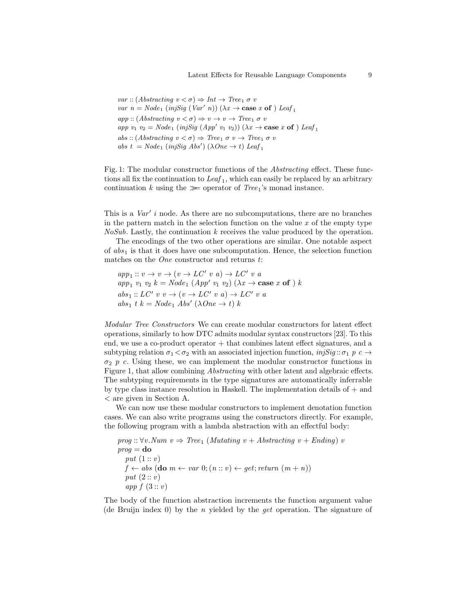```
var::(Abstracting \, v < \sigma) \Rightarrow Int \rightarrow Tree_1 \, \sigma \, vvar n = Node_1 (injSig (Var' n)) (\lambda x \rightarrow \csc x of ) Leaf
app :: (Abstracting v < \sigma) \Rightarrow v \rightarrow v \rightarrow Tree_1 \sigma vapp v_1 v_2 = Node<sub>1</sub> (injSig (App' v_1 v_2)) (\lambda x \rightarrow \textbf{case } x \textbf{ of } x) Leaf<sub>1</sub>
abs :: (Abstracting v < \sigma) \Rightarrow Tree<sub>1</sub> \sigma v \rightarrow Tree<sub>1</sub> \sigma v
abs t = Node_1 (injSig Abs') (\lambda One \rightarrow t) Leaf<sub>1</sub>
```
Fig. 1: The modular constructor functions of the Abstracting effect. These functions all fix the continuation to  $Leaf_1$ , which can easily be replaced by an arbitrary continuation k using the  $\gg$  operator of Tree<sub>1</sub>'s monad instance.

This is a  $Var'$  i node. As there are no subcomputations, there are no branches in the pattern match in the selection function on the value  $x$  of the empty type NoSub. Lastly, the continuation k receives the value produced by the operation.

The encodings of the two other operations are similar. One notable aspect of  $abs_1$  is that it does have one subcomputation. Hence, the selection function matches on the One constructor and returns t:

 $app_1 :: v \rightarrow v \rightarrow (v \rightarrow LC' v a) \rightarrow LC' v a$  $app_1$   $v_1$   $v_2$   $k = Node_1$   $(App'$   $v_1$   $v_2)$   $(\lambda x \rightarrow \textbf{case } x \textbf{ of }) k$  $abs_1 :: LC' v v \rightarrow (v \rightarrow LC' v a) \rightarrow LC' v a$  $abs_1$  t  $k = Node_1$  Abs'  $(\lambda One \rightarrow t)$  k

Modular Tree Constructors We can create modular constructors for latent effect operations, similarly to how DTC admits modular syntax constructors [23]. To this end, we use a co-product operator  $+$  that combines latent effect signatures, and a subtyping relation  $\sigma_1 < \sigma_2$  with an associated injection function,  $injSig :: \sigma_1 p c \rightarrow$  $\sigma_2$  p c. Using these, we can implement the modular constructor functions in Figure 1, that allow combining Abstracting with other latent and algebraic effects. The subtyping requirements in the type signatures are automatically inferrable by type class instance resolution in Haskell. The implementation details of + and < are given in Section A.

We can now use these modular constructors to implement denotation function cases. We can also write programs using the constructors directly. For example, the following program with a lambda abstraction with an effectful body:

```
prog :: \forall v.Num \; v \Rightarrow Tree_1 \; (Mutating \; v + Abstracting \; v + Ending) \; vprog =do
   put (1:: v)f \leftarrow abs \textbf{(do } m \leftarrow var \space 0; (n:: v) \leftarrow get; return \space (m+n))put (2:: v)app f(3:: v)
```
The body of the function abstraction increments the function argument value (de Bruijn index 0) by the *n* yielded by the *get* operation. The signature of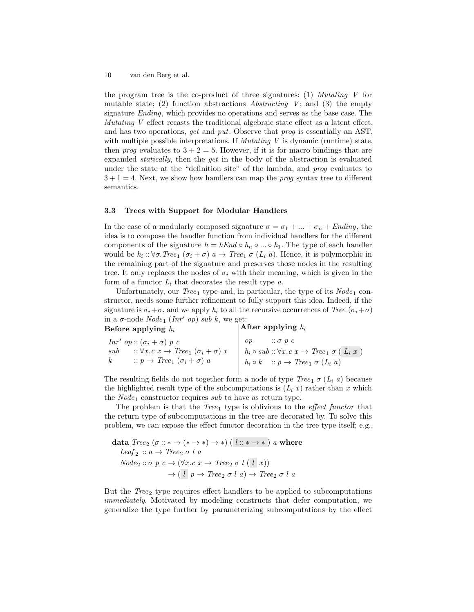the program tree is the co-product of three signatures: (1) Mutating V for mutable state; (2) function abstractions *Abstracting*  $V$ ; and (3) the empty signature Ending, which provides no operations and serves as the base case. The Mutating V effect recasts the traditional algebraic state effect as a latent effect, and has two operations, get and put. Observe that prog is essentially an AST, with multiple possible interpretations. If *Mutating*  $V$  is dynamic (runtime) state, then prog evaluates to  $3 + 2 = 5$ . However, if it is for macro bindings that are expanded statically, then the get in the body of the abstraction is evaluated under the state at the "definition site" of the lambda, and prog evaluates to  $3 + 1 = 4$ . Next, we show how handlers can map the *prog* syntax tree to different semantics.

### 3.3 Trees with Support for Modular Handlers

In the case of a modularly composed signature  $\sigma = \sigma_1 + ... + \sigma_n + Ending$ , the idea is to compose the handler function from individual handlers for the different components of the signature  $h = hEnd \circ h_n \circ ... \circ h_1$ . The type of each handler would be  $h_i$ ::  $\forall \sigma$ . Tree<sub>1</sub> ( $\sigma_i + \sigma$ )  $a \to Tree_1 \sigma (L_i \ a)$ . Hence, it is polymorphic in the remaining part of the signature and preserves those nodes in the resulting tree. It only replaces the nodes of  $\sigma_i$  with their meaning, which is given in the form of a functor  $L_i$  that decorates the result type  $a$ .

Unfortunately, our Tree<sub>1</sub> type and, in particular, the type of its  $Node_1$  constructor, needs some further refinement to fully support this idea. Indeed, if the signature is  $\sigma_i+\sigma$ , and we apply  $h_i$  to all the recursive occurrences of Tree  $(\sigma_i+\sigma)$ in a  $\sigma$ -node  $Node_1$  (Inr' op) sub k, we get:

Before applying  $h_i$ After applying  $h_i$ 

Inr' op ::  $(\sigma_i + \sigma) p c$  $sub$  ::  $\forall x. c \ x \rightarrow Tree_1 (\sigma_i + \sigma) \ x$ k  $\colon p \to Tree_1 (\sigma_i + \sigma)$  a op  $\therefore \sigma p c$  $h_i \circ sub :: \forall x . c \ x \rightarrow Tree_1 \ \sigma \ ( \ L_i \ x )$  $h_i \circ k$  ::  $p \to Tree_1 \sigma (L_i \ a)$ 

The resulting fields do not together form a node of type  $Tree_1 \sigma (L_i \ a)$  because the highlighted result type of the subcomputations is  $(L_i x)$  rather than x which the  $Node_1$  constructor requires sub to have as return type.

The problem is that the  $Tree_1$  type is oblivious to the *effect functor* that the return type of subcomputations in the tree are decorated by. To solve this problem, we can expose the effect functor decoration in the tree type itself; e.g.,

data 
$$
Tree_2
$$
 ( $\sigma$ :: $*$   $\rightarrow$  ( $*$   $\rightarrow$   $*$ )  $\rightarrow$  \*) ( $l$ :: $*$   $\rightarrow$   $*$ ) a where  
Leaf<sub>2</sub> ::  $a \rightarrow Tree_2 \sigma l a$   
Node<sub>2</sub> ::  $\sigma p c \rightarrow (\forall x.c \ x \rightarrow Tree_2 \sigma l (l x))$   
 $\rightarrow$  ( $l p \rightarrow Tree_2 \sigma l a) \rightarrow Tree_2 \sigma l a$ 

But the  $Tree_2$  type requires effect handlers to be applied to subcomputations immediately. Motivated by modeling constructs that defer computation, we generalize the type further by parameterizing subcomputations by the effect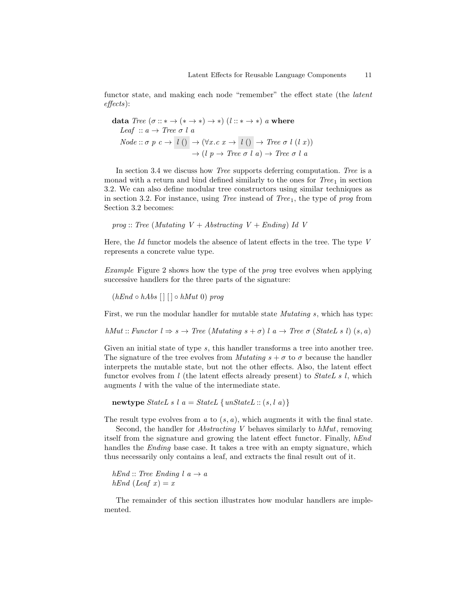functor state, and making each node "remember" the effect state (the latent effects):

**data** *Tree* 
$$
(\sigma :: * \rightarrow (* \rightarrow *) \rightarrow *)
$$
  $(l :: * \rightarrow *)$  *a* **where**  
*Leaf*  $\therefore$  *a*  $\rightarrow$  *Tree*  $\sigma$  *l a*  
*Node*  $\therefore \sigma$  *p*  $c \rightarrow$   $\begin{array}{c} l \ () \end{array} \rightarrow (\forall x.c \ x \rightarrow \begin{array}{c} l \ () \end{array} \rightarrow$  *Tree*  $\sigma$  *l*  $(l \ x))$   
 $\rightarrow$  *(l p*  $\rightarrow$  *Tree*  $\sigma$  *l a)*  $\rightarrow$  *Tree*  $\sigma$  *l a*

In section 3.4 we discuss how Tree supports deferring computation. Tree is a monad with a return and bind defined similarly to the ones for  $Tree_1$  in section 3.2. We can also define modular tree constructors using similar techniques as in section 3.2. For instance, using Tree instead of  $Tree_1$ , the type of prog from Section 3.2 becomes:

```
prog :: Tree (Mutating V + Abstracting V + Ending) Id V
```
Here, the Id functor models the absence of latent effects in the tree. The type  $V$ represents a concrete value type.

Example Figure 2 shows how the type of the prog tree evolves when applying successive handlers for the three parts of the signature:

 $(hEnd \circ hAbs \mid | \cdot | \circ hMut \; 0)$  prog

First, we run the modular handler for mutable state *Mutating s*, which has type:

hMut :: Functor  $l \Rightarrow s \rightarrow Tree$  (Mutating  $s + \sigma$ )  $l \ a \rightarrow Tree \ \sigma$  (StateL s l)  $(s, a)$ 

Given an initial state of type  $s$ , this handler transforms a tree into another tree. The signature of the tree evolves from *Mutating*  $s + \sigma$  to  $\sigma$  because the handler interprets the mutable state, but not the other effects. Also, the latent effect functor evolves from  $l$  (the latent effects already present) to  $StateL s l$ , which augments l with the value of the intermediate state.

newtype  $StateL s l a = StateL \{unStateL :: (s, l, a)\}$ 

The result type evolves from  $a$  to  $(s, a)$ , which augments it with the final state.

Second, the handler for Abstracting V behaves similarly to hMut, removing itself from the signature and growing the latent effect functor. Finally, hEnd handles the *Ending* base case. It takes a tree with an empty signature, which thus necessarily only contains a leaf, and extracts the final result out of it.

hEnd :: Tree Ending l  $a \rightarrow a$ hEnd (Leaf  $x$ ) = x

The remainder of this section illustrates how modular handlers are implemented.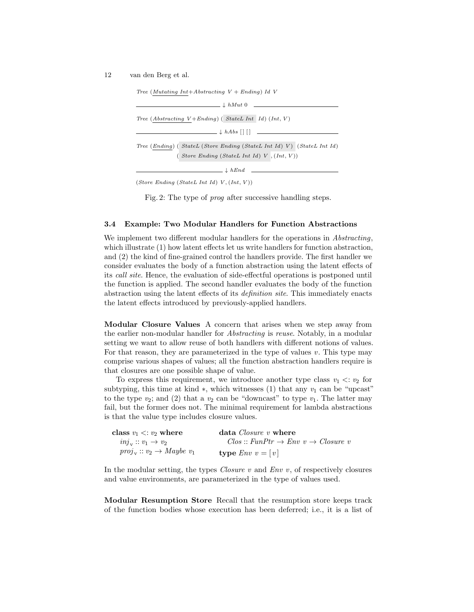| Tree (Mutating Int+Abstracting $V + Ending$ ) Id V                                                                                   |
|--------------------------------------------------------------------------------------------------------------------------------------|
| $\perp$ hMut 0 $\perp$                                                                                                               |
| Tree (Abstracting $V$ +Ending) (StateL Int Id) (Int, V)                                                                              |
| $\downarrow$ hAbs $\Box$                                                                                                             |
| Tree (Ending) (StateL (Store Ending (StateL Int Id) V) (StateL Int Id)<br>$(Store\; Ending\; (StateL\; Int\; Id)\; V\; ,(Int,\; V))$ |
| $\downarrow$ hEnd                                                                                                                    |

(Store Ending (StateL Int Id)  $V$ ,  $(Int, V)$ )

Fig. 2: The type of prog after successive handling steps.

#### 3.4 Example: Two Modular Handlers for Function Abstractions

We implement two different modular handlers for the operations in *Abstracting*, which illustrate (1) how latent effects let us write handlers for function abstraction, and (2) the kind of fine-grained control the handlers provide. The first handler we consider evaluates the body of a function abstraction using the latent effects of its call site. Hence, the evaluation of side-effectful operations is postponed until the function is applied. The second handler evaluates the body of the function abstraction using the latent effects of its definition site. This immediately enacts the latent effects introduced by previously-applied handlers.

Modular Closure Values A concern that arises when we step away from the earlier non-modular handler for Abstracting is reuse. Notably, in a modular setting we want to allow reuse of both handlers with different notions of values. For that reason, they are parameterized in the type of values  $v$ . This type may comprise various shapes of values; all the function abstraction handlers require is that closures are one possible shape of value.

To express this requirement, we introduce another type class  $v_1 \lt: v_2$  for subtyping, this time at kind  $\ast$ , which witnesses (1) that any  $v_1$  can be "upcast" to the type  $v_2$ ; and (2) that a  $v_2$  can be "downcast" to type  $v_1$ . The latter may fail, but the former does not. The minimal requirement for lambda abstractions is that the value type includes closure values.

| class $v_1 <: v_2$ where                 | data <i>Closure</i> v where                                  |
|------------------------------------------|--------------------------------------------------------------|
| $inj_{\nu}: v_1 \rightarrow v_2$         | $Clos :: FunPtr \rightarrow Env \ v \rightarrow Closure \ v$ |
| $proj_{v} :: v_2 \rightarrow Maybe\ v_1$ | type $Env v = [v]$                                           |

In the modular setting, the types *Closure v* and  $Env v$ , of respectively closures and value environments, are parameterized in the type of values used.

Modular Resumption Store Recall that the resumption store keeps track of the function bodies whose execution has been deferred; i.e., it is a list of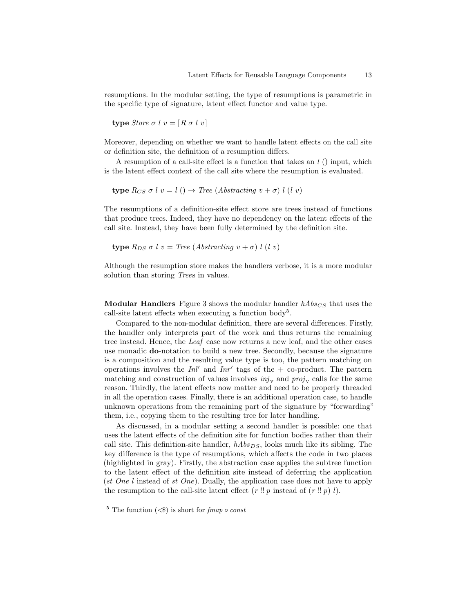resumptions. In the modular setting, the type of resumptions is parametric in the specific type of signature, latent effect functor and value type.

type Store  $\sigma l v = [R \sigma l v]$ 

Moreover, depending on whether we want to handle latent effects on the call site or definition site, the definition of a resumption differs.

A resumption of a call-site effect is a function that takes an  $l$  () input, which is the latent effect context of the call site where the resumption is evaluated.

```
type R_{CS} \sigma l v = l () \rightarrow Tree (Abstracting v + \sigma) l (l v)
```
The resumptions of a definition-site effect store are trees instead of functions that produce trees. Indeed, they have no dependency on the latent effects of the call site. Instead, they have been fully determined by the definition site.

**type** 
$$
R_{DS} \sigma l v = Tree (Abstracting v + \sigma) l (l v)
$$

Although the resumption store makes the handlers verbose, it is a more modular solution than storing *Trees* in values.

Modular Handlers Figure 3 shows the modular handler  $hAbs_{CS}$  that uses the call-site latent effects when executing a function body<sup>5</sup>.

Compared to the non-modular definition, there are several differences. Firstly, the handler only interprets part of the work and thus returns the remaining tree instead. Hence, the Leaf case now returns a new leaf, and the other cases use monadic do-notation to build a new tree. Secondly, because the signature is a composition and the resulting value type is too, the pattern matching on operations involves the  $Inl'$  and  $Inr'$  tags of the + co-product. The pattern matching and construction of values involves  $inj_v$  and  $proj_v$  calls for the same reason. Thirdly, the latent effects now matter and need to be properly threaded in all the operation cases. Finally, there is an additional operation case, to handle unknown operations from the remaining part of the signature by "forwarding" them, i.e., copying them to the resulting tree for later handling.

As discussed, in a modular setting a second handler is possible: one that uses the latent effects of the definition site for function bodies rather than their call site. This definition-site handler,  $hAbs_{DS}$ , looks much like its sibling. The key difference is the type of resumptions, which affects the code in two places (highlighted in gray). Firstly, the abstraction case applies the subtree function to the latent effect of the definition site instead of deferring the application (st One l instead of st One). Dually, the application case does not have to apply the resumption to the call-site latent effect  $(r!! p$  instead of  $(r!! p) l$ .

<sup>&</sup>lt;sup>5</sup> The function  $\langle \langle \mathcal{S} \rangle$  is short for fmap  $\circ$  const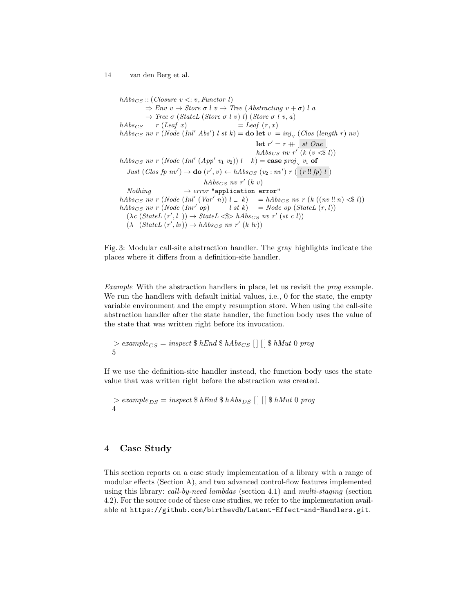$hAbs_{CS}::(Closure\ v\lt;:v, Function\ l)$  $\Rightarrow$  Env v  $\rightarrow$  Store  $\sigma$  l v  $\rightarrow$  Tree (Abstracting v +  $\sigma$ ) l a  $\rightarrow$  Tree σ (StateL (Store σ l v) l) (Store σ l v, a)  $hAbs_{CS}$  =  $r$  (Leaf x) = Leaf  $(r, x)$  $hAbs_{CS}$  nv r (Node (Inl' Abs') l st k) = do let  $v = inj_v$  (Clos (length r) nv) let  $r' = r + |st \text{ One }|$ hAbscs nv r'  $\overline{(k (v \leq s l))}$ hAbs<sub>CS</sub> nv r (Node (Inl' (App' v<sub>1</sub> v<sub>2</sub>))  $l = k$ ) = case proj<sub>v</sub> v<sub>1</sub> of Just (Clos fp  $nv'$ )  $\rightarrow$  do  $(r', v) \leftarrow$  hAbs<sub>CS</sub> ( $v_2 : nv'$ )  $r$  (( $r$ !! fp) l)  $hAbs_{CS}$  nv r'  $(k$  v)  $Nothing \rightarrow error$  "application error" hAbs<sub>CS</sub> nv r (Node  $\left(\text{In}^{\prime}(\text{Var}^{\prime} n)\right) l = k$ ) = hAbs<sub>CS</sub> nv r  $(k (\text{in}!! n) \leq l)$ )  $hAbs_{CS}$  nv r (Node (Inr' op)  $\left\{ \begin{array}{ll} l \; st \; k \end{array} \right\} \; = Node \; op \; (StateL \; (r, l))$  $(\lambda c \; (StateL \; (r', l \;)) \rightarrow StateL \ll\gg hAbs_{CS} \; nv \; r' \; (st \; c \; l))$  $(\lambda \text{ (StateL } (r', w)) \rightarrow hAbs_{CS} \text{nv } r' \text{ (k } w))$ 

Fig. 3: Modular call-site abstraction handler. The gray highlights indicate the places where it differs from a definition-site handler.

Example With the abstraction handlers in place, let us revisit the prog example. We run the handlers with default initial values, i.e., 0 for the state, the empty variable environment and the empty resumption store. When using the call-site abstraction handler after the state handler, the function body uses the value of the state that was written right before its invocation.

$$
> example_{CS} = inspect \$ hEnd \$ hAbs_{CS} [] [] \$ hMut 0 prog
$$

If we use the definition-site handler instead, the function body uses the state value that was written right before the abstraction was created.

```
> example_{DS} = inspect \$ hEnd \$ hAbs_{DS} [] [] \$ hMut 0 prog4
```
### 4 Case Study

This section reports on a case study implementation of a library with a range of modular effects (Section A), and two advanced control-flow features implemented using this library: call-by-need lambdas (section 4.1) and multi-staging (section 4.2). For the source code of these case studies, we refer to the implementation available at https://github.com/birthevdb/Latent-Effect-and-Handlers.git.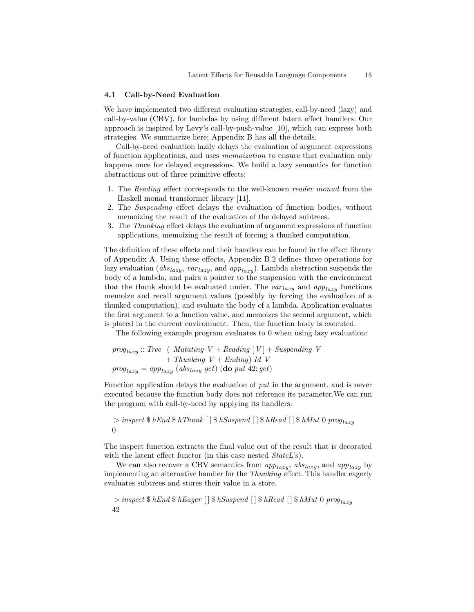#### 4.1 Call-by-Need Evaluation

We have implemented two different evaluation strategies, call-by-need (lazy) and call-by-value (CBV), for lambdas by using different latent effect handlers. Our approach is inspired by Levy's call-by-push-value [10], which can express both strategies. We summarize here; Appendix B has all the details.

Call-by-need evaluation lazily delays the evaluation of argument expressions of function applications, and uses memoization to ensure that evaluation only happens once for delayed expressions. We build a lazy semantics for function abstractions out of three primitive effects:

- 1. The Reading effect corresponds to the well-known reader monad from the Haskell monad transformer library [11].
- 2. The Suspending effect delays the evaluation of function bodies, without memoizing the result of the evaluation of the delayed subtrees.
- 3. The Thunking effect delays the evaluation of argument expressions of function applications, memoizing the result of forcing a thunked computation.

The definition of these effects and their handlers can be found in the effect library of Appendix A. Using these effects, Appendix B.2 defines three operations for lazy evaluation ( $abs_{lazy}$ ,  $var_{lazy}$ , and  $app_{lazy}$ ). Lambda abstraction suspends the body of a lambda, and pairs a pointer to the suspension with the environment that the thunk should be evaluated under. The  $var_{lazy}$  and  $app_{lazy}$  functions memoize and recall argument values (possibly by forcing the evaluation of a thunked computation), and evaluate the body of a lambda. Application evaluates the first argument to a function value, and memoizes the second argument, which is placed in the current environment. Then, the function body is executed.

The following example program evaluates to 0 when using lazy evaluation:

$$
prog_{lazy} :: Tree \ (Mutating \ V + Reading \ V) + Suspending \ V + Thunking \ V + Ending) \ Id \ V
$$

$$
prog_{lazy} = app_{lazy} \ (abs_{lazy} \ get) \ (do \ put \ 42; get)
$$

Function application delays the evaluation of put in the argument, and is never executed because the function body does not reference its parameter.We can run the program with call-by-need by applying its handlers:

```
> inspect $ hEnd $ hThunk [] $ hSuspend [] $ hRead [] $ hMut 0 prog<sub>lazy</sub>
0
```
The inspect function extracts the final value out of the result that is decorated with the latent effect functor (in this case nested  $StateL$ 's).

We can also recover a CBV semantics from  $app_{lazy}$ ,  $abs_{lazy}$ , and  $app_{lazy}$  by implementing an alternative handler for the Thunking effect. This handler eagerly evaluates subtrees and stores their value in a store.

```
> inspect $ hEnd $ hEager [ ] $ hSuspend [ ] $ hRead [ ] $ hMut 0 prog<sub>lazy</sub>
42
```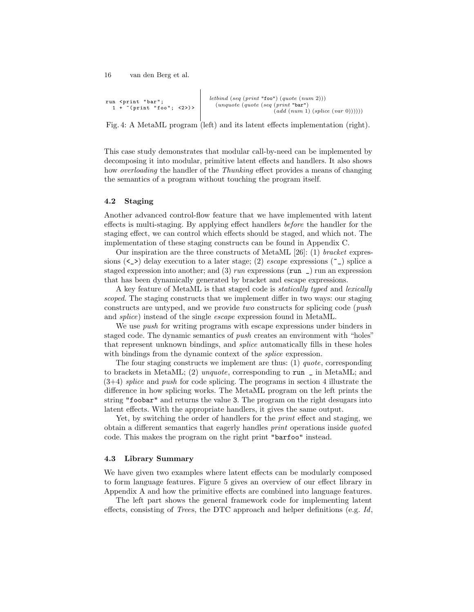run < print " bar " ; 1 + ~( print " foo " ; <2 >) > letbind (seq (print "foo") (quote (num 2)))<br>
(unquote (quote (seq (print "bar")<br>
(add (num 1) (splice (var 0))))))

Fig. 4: A MetaML program (left) and its latent effects implementation (right).

This case study demonstrates that modular call-by-need can be implemented by decomposing it into modular, primitive latent effects and handlers. It also shows how *overloading* the handler of the *Thunking* effect provides a means of changing the semantics of a program without touching the program itself.

#### 4.2 Staging

Another advanced control-flow feature that we have implemented with latent effects is multi-staging. By applying effect handlers before the handler for the staging effect, we can control which effects should be staged, and which not. The implementation of these staging constructs can be found in Appendix C.

Our inspiration are the three constructs of MetaML [26]: (1) bracket expressions  $(\leq)$  delay execution to a later stage; (2) *escape* expressions  $(\leq)$  splice a staged expression into another; and (3) run expressions (run  $\Box$ ) run an expression that has been dynamically generated by bracket and escape expressions.

A key feature of MetaML is that staged code is statically typed and lexically scoped. The staging constructs that we implement differ in two ways: our staging constructs are untyped, and we provide two constructs for splicing code (push and splice) instead of the single escape expression found in MetaML.

We use *push* for writing programs with escape expressions under binders in staged code. The dynamic semantics of *push* creates an environment with "holes" that represent unknown bindings, and splice automatically fills in these holes with bindings from the dynamic context of the *splice* expression.

The four staging constructs we implement are thus:  $(1)$  quote, corresponding to brackets in MetaML; (2) unquote, corresponding to run  $\Box$  in MetaML; and  $(3+4)$  splice and push for code splicing. The programs in section 4 illustrate the difference in how splicing works. The MetaML program on the left prints the string "foobar" and returns the value 3. The program on the right desugars into latent effects. With the appropriate handlers, it gives the same output.

Yet, by switching the order of handlers for the print effect and staging, we obtain a different semantics that eagerly handles print operations inside quoted code. This makes the program on the right print "barfoo" instead.

### 4.3 Library Summary

We have given two examples where latent effects can be modularly composed to form language features. Figure 5 gives an overview of our effect library in Appendix A and how the primitive effects are combined into language features.

The left part shows the general framework code for implementing latent effects, consisting of Trees, the DTC approach and helper definitions (e.g. Id,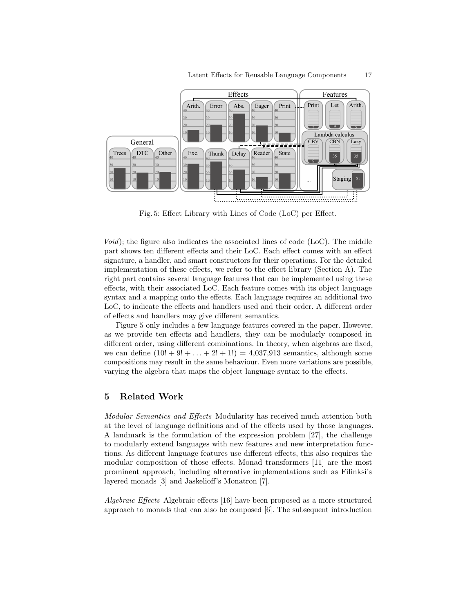

Fig. 5: Effect Library with Lines of Code (LoC) per Effect.

Void); the figure also indicates the associated lines of code (LoC). The middle part shows ten different effects and their LoC. Each effect comes with an effect signature, a handler, and smart constructors for their operations. For the detailed implementation of these effects, we refer to the effect library (Section A). The right part contains several language features that can be implemented using these effects, with their associated LoC. Each feature comes with its object language syntax and a mapping onto the effects. Each language requires an additional two LoC, to indicate the effects and handlers used and their order. A different order of effects and handlers may give different semantics.

Figure 5 only includes a few language features covered in the paper. However, as we provide ten effects and handlers, they can be modularly composed in different order, using different combinations. In theory, when algebras are fixed, we can define  $(10! + 9! + ... + 2! + 1!) = 4,037,913$  semantics, although some compositions may result in the same behaviour. Even more variations are possible, varying the algebra that maps the object language syntax to the effects.

# 5 Related Work

Modular Semantics and Effects Modularity has received much attention both at the level of language definitions and of the effects used by those languages. A landmark is the formulation of the expression problem [27], the challenge to modularly extend languages with new features and new interpretation functions. As different language features use different effects, this also requires the modular composition of those effects. Monad transformers [11] are the most prominent approach, including alternative implementations such as Filinksi's layered monads [3] and Jaskelioff's Monatron [7].

Algebraic Effects Algebraic effects [16] have been proposed as a more structured approach to monads that can also be composed [6]. The subsequent introduction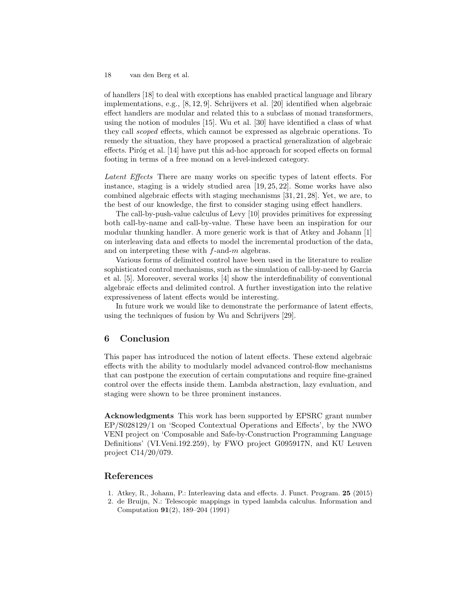of handlers [18] to deal with exceptions has enabled practical language and library implementations, e.g., [8, 12, 9]. Schrijvers et al. [20] identified when algebraic effect handlers are modular and related this to a subclass of monad transformers, using the notion of modules [15]. Wu et al. [30] have identified a class of what they call scoped effects, which cannot be expressed as algebraic operations. To remedy the situation, they have proposed a practical generalization of algebraic effects. Piróg et al.  $[14]$  have put this ad-hoc approach for scoped effects on formal footing in terms of a free monad on a level-indexed category.

Latent Effects There are many works on specific types of latent effects. For instance, staging is a widely studied area [19, 25, 22]. Some works have also combined algebraic effects with staging mechanisms [31, 21, 28]. Yet, we are, to the best of our knowledge, the first to consider staging using effect handlers.

The call-by-push-value calculus of Levy [10] provides primitives for expressing both call-by-name and call-by-value. These have been an inspiration for our modular thunking handler. A more generic work is that of Atkey and Johann [1] on interleaving data and effects to model the incremental production of the data, and on interpreting these with f-and-m algebras.

Various forms of delimited control have been used in the literature to realize sophisticated control mechanisms, such as the simulation of call-by-need by Garcia et al. [5]. Moreover, several works [4] show the interdefinability of conventional algebraic effects and delimited control. A further investigation into the relative expressiveness of latent effects would be interesting.

In future work we would like to demonstrate the performance of latent effects, using the techniques of fusion by Wu and Schrijvers [29].

# 6 Conclusion

This paper has introduced the notion of latent effects. These extend algebraic effects with the ability to modularly model advanced control-flow mechanisms that can postpone the execution of certain computations and require fine-grained control over the effects inside them. Lambda abstraction, lazy evaluation, and staging were shown to be three prominent instances.

Acknowledgments This work has been supported by EPSRC grant number EP/S028129/1 on 'Scoped Contextual Operations and Effects', by the NWO VENI project on 'Composable and Safe-by-Construction Programming Language Definitions' (VI.Veni.192.259), by FWO project G095917N, and KU Leuven project C14/20/079.

# References

- 1. Atkey, R., Johann, P.: Interleaving data and effects. J. Funct. Program. 25 (2015)
- 2. de Bruijn, N.: Telescopic mappings in typed lambda calculus. Information and Computation 91(2), 189–204 (1991)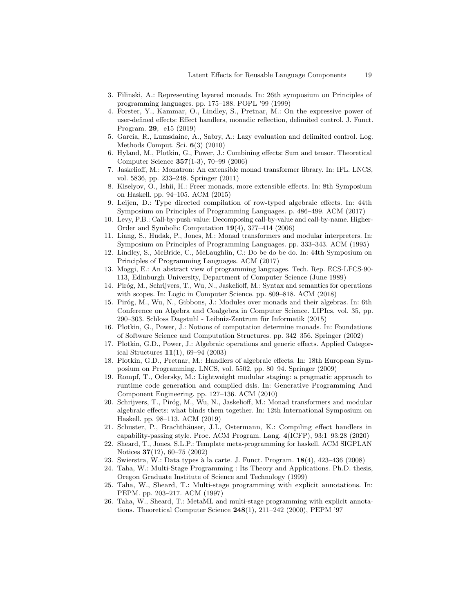- 3. Filinski, A.: Representing layered monads. In: 26th symposium on Principles of programming languages. pp. 175–188. POPL '99 (1999)
- 4. Forster, Y., Kammar, O., Lindley, S., Pretnar, M.: On the expressive power of user-defined effects: Effect handlers, monadic reflection, delimited control. J. Funct. Program. 29, e15 (2019)
- 5. Garcia, R., Lumsdaine, A., Sabry, A.: Lazy evaluation and delimited control. Log. Methods Comput. Sci. 6(3) (2010)
- 6. Hyland, M., Plotkin, G., Power, J.: Combining effects: Sum and tensor. Theoretical Computer Science 357(1-3), 70–99 (2006)
- 7. Jaskelioff, M.: Monatron: An extensible monad transformer library. In: IFL. LNCS, vol. 5836, pp. 233–248. Springer (2011)
- 8. Kiselyov, O., Ishii, H.: Freer monads, more extensible effects. In: 8th Symposium on Haskell. pp. 94–105. ACM (2015)
- 9. Leijen, D.: Type directed compilation of row-typed algebraic effects. In: 44th Symposium on Principles of Programming Languages. p. 486–499. ACM (2017)
- 10. Levy, P.B.: Call-by-push-value: Decomposing call-by-value and call-by-name. Higher-Order and Symbolic Computation 19(4), 377–414 (2006)
- 11. Liang, S., Hudak, P., Jones, M.: Monad transformers and modular interpreters. In: Symposium on Principles of Programming Languages. pp. 333–343. ACM (1995)
- 12. Lindley, S., McBride, C., McLaughlin, C.: Do be do be do. In: 44th Symposium on Principles of Programming Languages. ACM (2017)
- 13. Moggi, E.: An abstract view of programming languages. Tech. Rep. ECS-LFCS-90- 113, Edinburgh University, Department of Computer Science (June 1989)
- 14. Piróg, M., Schrijvers, T., Wu, N., Jaskelioff, M.: Syntax and semantics for operations with scopes. In: Logic in Computer Science. pp. 809–818. ACM (2018)
- 15. Piróg, M., Wu, N., Gibbons, J.: Modules over monads and their algebras. In: 6th Conference on Algebra and Coalgebra in Computer Science. LIPIcs, vol. 35, pp. 290–303. Schloss Dagstuhl - Leibniz-Zentrum für Informatik (2015)
- 16. Plotkin, G., Power, J.: Notions of computation determine monads. In: Foundations of Software Science and Computation Structures. pp. 342–356. Springer (2002)
- 17. Plotkin, G.D., Power, J.: Algebraic operations and generic effects. Applied Categorical Structures 11(1), 69–94 (2003)
- 18. Plotkin, G.D., Pretnar, M.: Handlers of algebraic effects. In: 18th European Symposium on Programming. LNCS, vol. 5502, pp. 80–94. Springer (2009)
- 19. Rompf, T., Odersky, M.: Lightweight modular staging: a pragmatic approach to runtime code generation and compiled dsls. In: Generative Programming And Component Engineering. pp. 127–136. ACM (2010)
- 20. Schrijvers, T., Piróg, M., Wu, N., Jaskelioff, M.: Monad transformers and modular algebraic effects: what binds them together. In: 12th International Symposium on Haskell. pp. 98–113. ACM (2019)
- 21. Schuster, P., Brachthäuser, J.I., Ostermann, K.: Compiling effect handlers in capability-passing style. Proc. ACM Program. Lang. 4(ICFP), 93:1–93:28 (2020)
- 22. Sheard, T., Jones, S.L.P.: Template meta-programming for haskell. ACM SIGPLAN Notices 37(12), 60–75 (2002)
- 23. Swierstra, W.: Data types à la carte. J. Funct. Program. **18**(4), 423–436 (2008)
- 24. Taha, W.: Multi-Stage Programming : Its Theory and Applications. Ph.D. thesis, Oregon Graduate Institute of Science and Technology (1999)
- 25. Taha, W., Sheard, T.: Multi-stage programming with explicit annotations. In: PEPM. pp. 203–217. ACM (1997)
- 26. Taha, W., Sheard, T.: MetaML and multi-stage programming with explicit annotations. Theoretical Computer Science 248(1), 211–242 (2000), PEPM '97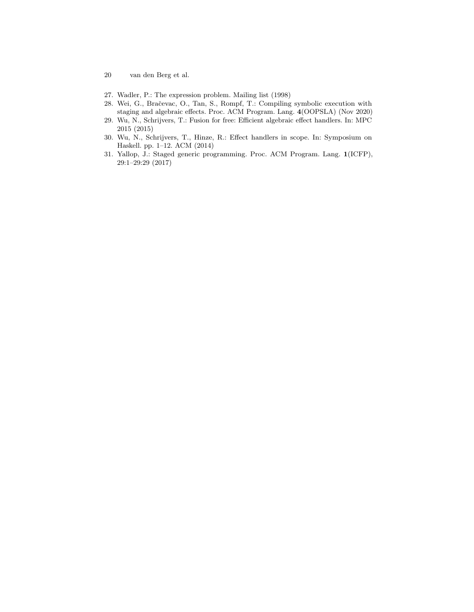- 20 van den Berg et al.
- 27. Wadler, P.: The expression problem. Mailing list (1998)
- 28. Wei, G., Braˇcevac, O., Tan, S., Rompf, T.: Compiling symbolic execution with staging and algebraic effects. Proc. ACM Program. Lang. 4(OOPSLA) (Nov 2020)
- 29. Wu, N., Schrijvers, T.: Fusion for free: Efficient algebraic effect handlers. In: MPC 2015 (2015)
- 30. Wu, N., Schrijvers, T., Hinze, R.: Effect handlers in scope. In: Symposium on Haskell. pp. 1–12. ACM (2014)
- 31. Yallop, J.: Staged generic programming. Proc. ACM Program. Lang. 1(ICFP), 29:1–29:29 (2017)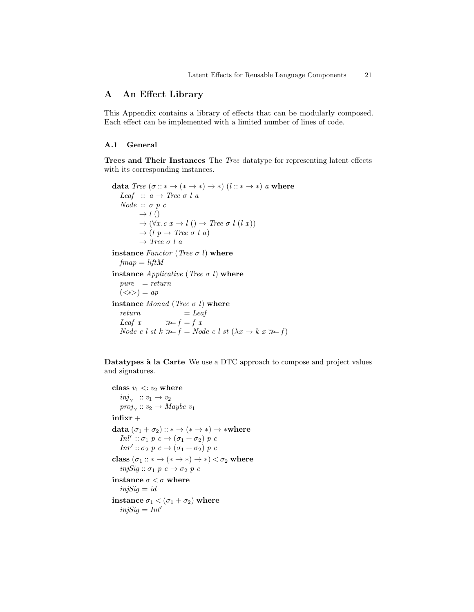# A An Effect Library

This Appendix contains a library of effects that can be modularly composed. Each effect can be implemented with a limited number of lines of code.

### A.1 General

Trees and Their Instances The Tree datatype for representing latent effects with its corresponding instances.

```
data Tree (\sigma :: * \rightarrow (* \rightarrow *) \rightarrow *) (l :: * \rightarrow *) a where
   Leaf :: a \rightarrow Tree \sigma l aNode \therefore \sigma p c\rightarrow l()
           \rightarrow (\forall x.c \ x \rightarrow l \ ( ) \rightarrow Tree \ \sigma \ l \ ( l \ x ) )\rightarrow (l p \rightarrow Tree \sigma l a)
           \rightarrow Tree \sigma l ainstance Functor (Tree \sigma l) where
   fmap = liftMinstance Applicative (Tree \sigma l) where
   pure = return(\ll\!\ast\!\!>) = apinstance Monad (Tree \sigma l) where
   return = LeafLeaf x \gg f = f xNode c l st k \gg f = Node c l st (\lambda x \rightarrow k x \gg f)
```
Datatypes à la Carte We use a DTC approach to compose and project values and signatures.

```
class v_1 \ll v_2 where
    i\pi j_v : v_1 \to v_2proj_{v} :: v_2 \rightarrow Maybe\ v_1\inf \{ xr +data (\sigma_1 + \sigma_2) :: * \rightarrow (* \rightarrow *) \rightarrow *whereInl': \sigma_1 p c \rightarrow (\sigma_1 + \sigma_2) p cInr': \sigma_2 p c \rightarrow (\sigma_1 + \sigma_2) p cclass (\sigma_1 :: * \to (* \to *) \to *) < \sigma_2 where
    injSig :: \sigma_1 p c \rightarrow \sigma_2 p cinstance \sigma < \sigma where
    injSig = idinstance \sigma_1 < (\sigma_1 + \sigma_2) where
```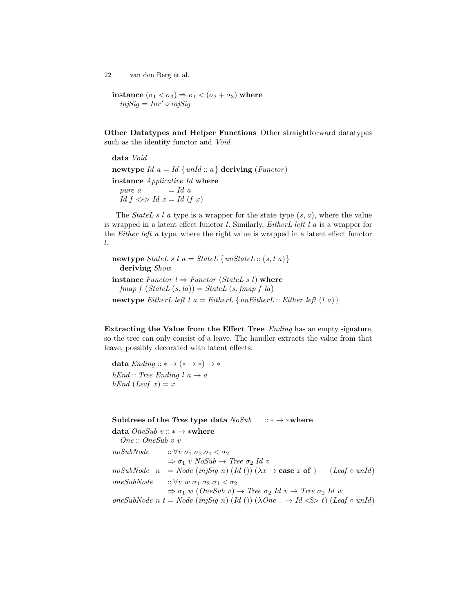instance  $(\sigma_1 < \sigma_3) \Rightarrow \sigma_1 < (\sigma_2 + \sigma_3)$  where  $injSig = Inr' \circ injSig$ 

Other Datatypes and Helper Functions Other straightforward datatypes such as the identity functor and *Void*.

data Void newtype Id  $a = Id \{unId :: a\}$  deriving (Functor) instance Applicative Id where pure  $a = Id$  a Id  $f \iff Id x = Id (f x)$ 

The *StateL s l a* type is a wrapper for the state type  $(s, a)$ , where the value is wrapped in a latent effect functor l. Similarly, EitherL left l a is a wrapper for the Either left a type, where the right value is wrapped in a latent effect functor l.

newtype StateL s l  $a = StateL \{unStateL : (s, l, a)\}\$ deriving Show instance Functor  $l \Rightarrow$  Functor (StateL s l) where  $fmap f (StateL (s, la)) = StateL (s, fmap f la)$ newtype EitherL left l  $a = EitherL \{unEitherL : Either left (l \ a) \}$ 

Extracting the Value from the Effect Tree Ending has an empty signature, so the tree can only consist of a leave. The handler extracts the value from that leave, possibly decorated with latent effects.

data  $\text{Ending} :: * \rightarrow (* \rightarrow *) \rightarrow *$ hEnd :: Tree Ending l  $a \rightarrow a$ hEnd (Leaf  $x$ ) = x

Subtrees of the Tree type data  $NoSub$  :: \* → \*where

data  $OneSub$  v :: \*  $\rightarrow$  \*where One :: OneSub v v  $noSubNode$  ::  $\forall v \space \sigma_1 \space \sigma_2 \space \ldots \space \sigma_2$  $\Rightarrow \sigma_1 v \text{ NoSub} \rightarrow \text{Tree } \sigma_2 \text{ Id } v$  $noSubNode \t n = Node (injSig \t n) (Id) (\lambda x \rightarrow case \t n \t (Leaf \t o \t unId))$ oneSubNode  $:: \forall v \ w \ \sigma_1 \ \sigma_2 \ \sigma_1 < \sigma_2$  $\Rightarrow \sigma_1 w$  (OneSub v)  $\rightarrow$  Tree  $\sigma_2$  Id v  $\rightarrow$  Tree  $\sigma_2$  Id w oneSubNode n  $t = Node (injSig n) (Id ())(\lambda One \rightarrow Id \lll y b) (Leaf \circ unId)$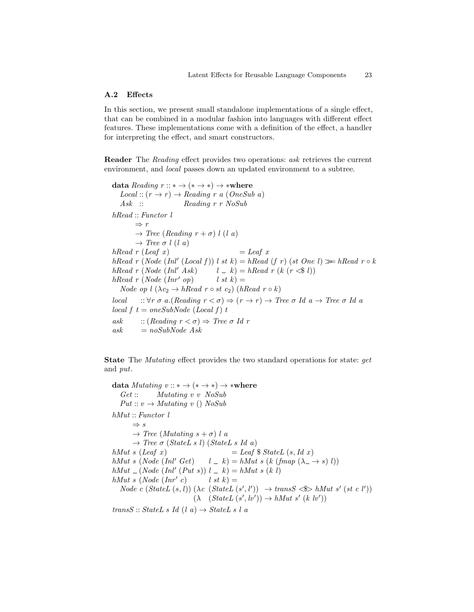### A.2 Effects

In this section, we present small standalone implementations of a single effect, that can be combined in a modular fashion into languages with different effect features. These implementations come with a definition of the effect, a handler for interpreting the effect, and smart constructors.

Reader The Reading effect provides two operations: ask retrieves the current environment, and local passes down an updated environment to a subtree.

```
data Reading r :: * \rightarrow (* \rightarrow *) \rightarrow * where
   Local :: (r \rightarrow r) \rightarrow Reading \; r \; a \; (OneSub \; a)Ask :: Reading r r NoSub
hRead :: Functor l
        \Rightarrow r
        \rightarrow Tree (Reading r + \sigma) l (l a)
        \rightarrow Tree \sigma l (l a)
hRead \r(Leaf \r x) = Leaf \r xhRead r (Node (Inl' (Local f)) l st k) = hRead (f r) (st One l) \gg hRead r \circ k
hRead r (Node (Inl' Ask) l = k) = hRead r (k (r <\\\ ds))
hRead r (Node (Inr' op) l st k) =
   Node op l (\lambda c_2 \rightarrow hRead \ r \circ st \ c_2) (hRead r \circ k)
local :: \forall r \sigma \ a. (Reading \ r < \sigma) \Rightarrow (r \to r) \to Tree \ \sigma \ Id \ a \to Tree \ \sigma \ Id \ alocal f\ t = oneSubNode\ (Local\ f)\ task :: (Reading r < \sigma) \Rightarrow Tree \sigma Id rask = noSubNode Ask
```
State The Mutating effect provides the two standard operations for state: get and put.

data *Mutating*  $v : \ast \rightarrow (\ast \rightarrow \ast) \rightarrow \ast$  where Get :: Mutating v v NoSub  $Put :: v \rightarrow Mutating \ v \ () \ NoSub$ hMut :: Functor l  $\Rightarrow$  s  $\rightarrow$  Tree (Mutating s +  $\sigma$ ) l a  $\rightarrow$  Tree  $\sigma$  (StateL s l) (StateL s Id a)  $h\Delta t \, s \, (Leaf \, x) = Leaf \, \$ \, StateL \, (s, Id \, x)$ hMut s (Node (Inl' Get)  $l = k$ ) = hMut s (k (fmap ( $\lambda \rightarrow s$ ) l))  $hMut = (Node (Inl' (Put s)) l = k) = hMut s (k l)$ hMut s (Node  $(Inv' c)$  $l$  st  $k) =$  $Node\ c\ (StateL\ (s, l))\ (\lambda c\ (StateL\ (s', l')) \rightarrow transS \ll\gg hMut\ s'\ (st\ c\ l'))$  $(\lambda \quad (StateL (s', bv')) \rightarrow hMut s' (k' w'))$ 

 $transS :: StateL s Id (l a) \rightarrow StateL s l a$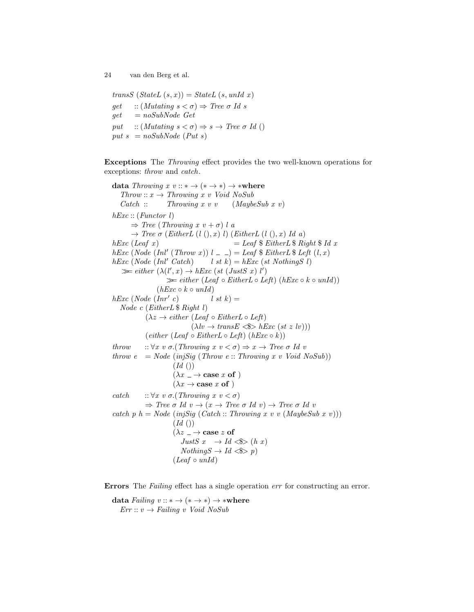$transS (StateL (s, x)) = StateL (s, unId x)$ qet  $:: (Mutating s < \sigma) \Rightarrow Tree \sigma Id s$  $get = noSubNode$  Get put  $:: (Mutating s < \sigma) \Rightarrow s \rightarrow Tree \sigma Id$  () put  $s = noSubNode$  (Put s)

Exceptions The Throwing effect provides the two well-known operations for exceptions: throw and catch.

data Throwing  $x \, v :: * \rightarrow (* \rightarrow *) \rightarrow *$  where  $Throw :: x \rightarrow Throwing \ x \ v \ Void \ NosSub$  $\textit{Cache} :: \textit{Through } x \ v \ v \quad (\textit{MaybeSub } x \ v)$  $hExc::(Function \, l)$  $\Rightarrow$  Tree (Throwing x v +  $\sigma$ ) l a  $\rightarrow$  Tree  $\sigma$  (EitherL  $(l \, () , x)$  l) (EitherL  $(l \, () , x)$  Id a)  $hExc~(Leaf~x)$  = Leaf \\$ EitherL \\$ Right \\$ Id x hExc (Node (Inl' (Throw x))  $l = -$ ) = Leaf \$ EitherL \$ Left (l, x) hExc (Node (Inl' Catch) l st k) = hExc (st NothingS l)  $\gg$  either  $(\lambda(l',x) \rightarrow hExc \ (st \ (Just S \ x) \ l')$  $\gg$  either (Leaf ◦ EitherL ◦ Left) (hExc ◦ k ◦ unId))  $(hExc \circ k \circ unId)$ hExc (Node (Inr' c) l st  $k) =$ Node c (EitherL \$ Right l)  $(\lambda z \rightarrow either (Leaf \circ Either L \circ Left))$  $(\lambda l v \rightarrow transE \ll\gg hExc (st z l v)))$  $(either (Leaf \circ Either L \circ Left) (hExc \circ k))$ throw  $:: \forall x \ v \ \sigma.$  (Throwing  $x \ v < \sigma$ )  $\Rightarrow x \to$  Tree  $\sigma$  Id v throw  $e = Node (injSig (Throw e :: Throwing x v void NoSub))$  $(Id()$  $(\lambda x \perp \rightarrow \case x \text{ of } )$  $(\lambda x \rightarrow \case x \text{ of } )$ catch ::  $\forall x \ v \ \sigma$ . (Throwing  $x \ v < \sigma$ )  $\Rightarrow$  Tree  $\sigma$  Id  $v \rightarrow (x \rightarrow$  Tree  $\sigma$  Id  $v) \rightarrow$  Tree  $\sigma$  Id  $v$ catch p  $h = Node (injSig (Catch::Throughrowing x v v (MaybeSub x v)))$  $(Id()$  $(\lambda z \rightarrow \case\ z$  of JustS  $x \rightarrow Id \leq s$  (h x)  $NothingS \rightarrow Id \lll$   $\gg p)$  $(Leaf \circ unId)$ 

Errors The Failing effect has a single operation err for constructing an error.

data Failing  $v :: * \rightarrow (* \rightarrow *) \rightarrow *where$  $Err :: v \rightarrow Failing \, v \, Void \, NoSub$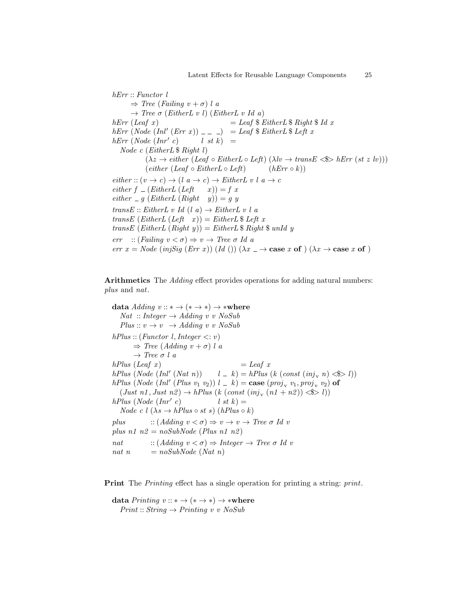hErr :: Functor l  $\Rightarrow$  Tree (Failing  $v + \sigma$ ) l a  $\rightarrow$  Tree  $\sigma$  (EitherL v l) (EitherL v Id a) hErr (Leaf x)  $=$  Leaf \\$ EitherL \\$ Right \\$ Id x hErr  $(Node (Inl' (Err x))_{--}) = Leaf $ EitherL $ Left x$ hErr (Node (Inr <sup>0</sup> c) l st k) = Node c (EitherL \$ Right l)  $(\lambda z \rightarrow either (Leaf \circ EitherL \circ Left) (\lambda w \rightarrow transE \ll bErr (st z w)))$  $(either (Leaf \circ Either L \circ Left)$  (hErr  $\circ k$ ))  $either :: (v \rightarrow c) \rightarrow (l \ a \rightarrow c) \rightarrow EitherL \ v \ l \ a \rightarrow c$ either  $f = (EitherL (Left x)) = f x$  $either_g (EitherL (Right - y)) = g y$ trans $E :: Either L v Id (l a) \rightarrow Either L v l a$ transE (EitherL (Left  $x$ )) = EitherL \\$ Left x transE (EitherL  $(Right y)$ ) = EitherL \$ Right \$ unId y err ::  $(Failing \, v \leq \sigma) \Rightarrow v \rightarrow Tree \, \sigma \, Id \, a$ err  $x = Node (injSig (Err x)) (Id ())(\lambda x \rightarrow case x of)(\lambda x \rightarrow case x of)$ 

Arithmetics The *Adding* effect provides operations for adding natural numbers: plus and nat.

data  $Adding \, v::* \rightarrow (* \rightarrow *) \rightarrow *where$  $Nat :: Integer \rightarrow Adding \ v \ v \ NoSub$  $Plus: v \rightarrow v \rightarrow Adding \ v \ v \ NosSub$  $hPlus :: (Function \, l. \, Integer \leq: v)$  $\Rightarrow$  Tree (Adding  $v + \sigma$ ) l a  $\rightarrow$  Tree  $\sigma$  l a  $hPlus (Leaf x) = Leaf x$ hPlus (Node  $(Int'(Nat n)) \t l = k) = hPlus (k (const (inj<sub>v</sub> n)  $\leq$ ) )$ hPlus (Node (Inl' (Plus  $v_1$   $v_2$ ))  $l = k$ ) = case (proj<sub>v</sub>  $v_1$ , proj<sub>v</sub>  $v_2$ ) of  $(Just\ n1, Just\ n2) \rightarrow hPlus\ (k\ (const\ (inj_{v}\ (n1+n2)) \ll b) )$  $hPlus (Node (Inr c))$ l st k)  $=$ Node c l  $(\lambda s \rightarrow hPlus \circ st s)$   $(hPlus \circ k)$ plus  $:: (Adding \ v < \sigma) \Rightarrow v \rightarrow v \rightarrow Tree \ \sigma Id \ v$ plus n1  $n2 = noSubNode$  (Plus n1  $n2$ ) nat  $:: (Adding \ v < \sigma) \Rightarrow Integer \rightarrow Tree \ \sigma Id \ v$ nat  $n = noSubNode$  (Nat  $n$ )

Print The *Printing* effect has a single operation for printing a string: *print*.

data Printing  $v :: * \rightarrow (* \rightarrow *) \rightarrow *$  where  $Print :: String \rightarrow Printing v v NoSub$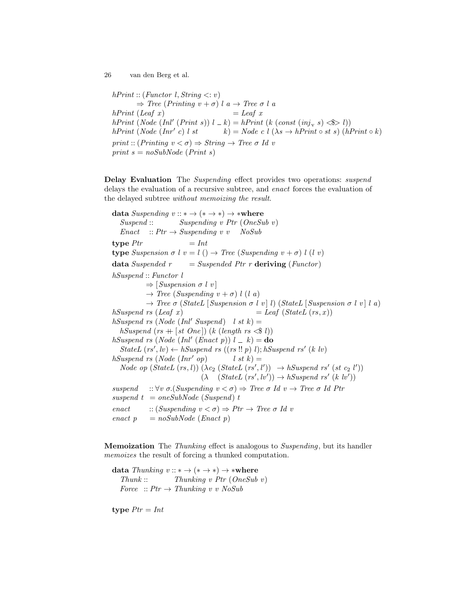$hPrint :: (Function \, l, String < : v)$  $\Rightarrow$  Tree (Printing  $v + \sigma$ ) l  $a \rightarrow$  Tree  $\sigma$  l  $a$  $hPrint (Leaf x)$  = Leaf x hPrint (Node (Inl' (Print s))  $l = k$ ) = hPrint (k (const (inj<sub>v</sub> s) <\\\ e\stable hPrint (Node (Inr' c)  $l$  st  $k) = Node c \; l \; (\lambda s \rightarrow hPrint \circ st \; s) \; (hPrint \circ k)$ print ::  $(Pritting \, v \leq \sigma) \Rightarrow String \rightarrow Tree \, \sigma \, Id \, v$ print  $s = noSubNode$  (Print s)

Delay Evaluation The Suspending effect provides two operations: suspend delays the evaluation of a recursive subtree, and enact forces the evaluation of the delayed subtree without memoizing the result.

data Suspending  $v :: * \rightarrow (* \rightarrow *) \rightarrow *$  where Suspend :: Suspending v Ptr (OneSub v)  $Enact :: Ptr \rightarrow Suspending \, v \, v \quad NosSub$ type  $Ptr = Int$ type Suspension  $\sigma l$  v = l ()  $\rightarrow$  Tree (Suspending v +  $\sigma$ ) l (l v) data Suspended  $r = Suspended Ptr r$  deriving (Functor) hSuspend :: Functor l  $\Rightarrow$  [Suspension  $\sigma$  l v]  $\rightarrow$  Tree (Suspending  $v + \sigma$ ) l (l a)  $\rightarrow$  Tree  $\sigma$  (StateL [Suspension  $\sigma$  l v] l) (StateL [Suspension  $\sigma$  l v] l a)  $h\text{Suspend}\;rs\;(Leaf\;x)$   $=$   $Leaf\;(StateL\;(rs,x))$ hSuspend rs (Node (Inl' Suspend) l st  $k$ ) = hSuspend  $(rs + [st \ One]) (k (length rs < \$ l))$ hSuspend rs (Node (Inl' (Enact p))  $l = k$ ) = do  $StateL (rs', iv) \leftarrow hSuspend rs ((rs!! p) l); hSuspend rs'(klv)$ hSuspend rs (Node (Inr' op) l st k) =  $Node\ op\ (StateL (rs, l)) (\lambda c_2 (StateL (rs', l')) \rightarrow hSuspend rs' (st c_2 l'))$  $(\lambda \quad (StateL (rs', bv')) \rightarrow hSuspend rs' (k'w'))$ suspend ::  $\forall v \sigma$ . (Suspending  $v < \sigma$ )  $\Rightarrow$  Tree  $\sigma$  Id  $v \rightarrow$  Tree  $\sigma$  Id Ptr suspend  $t = oneSubNode$  (Suspend) t enact :: (Suspending  $v < \sigma$ )  $\Rightarrow$  Ptr  $\rightarrow$  Tree  $\sigma$  Id v enact  $p = noSubNode$  (Enact p)

Memoization The Thunking effect is analogous to Suspending, but its handler memoizes the result of forcing a thunked computation.

```
data Thunking v :: * \rightarrow (* \rightarrow *) \rightarrow * where
   Thunk :: Thunking v Ptr (OneSub v)
  Force :: Ptr \rightarrow Thunking \ v \ v \ NoSub
```
type  $Ptr = Int$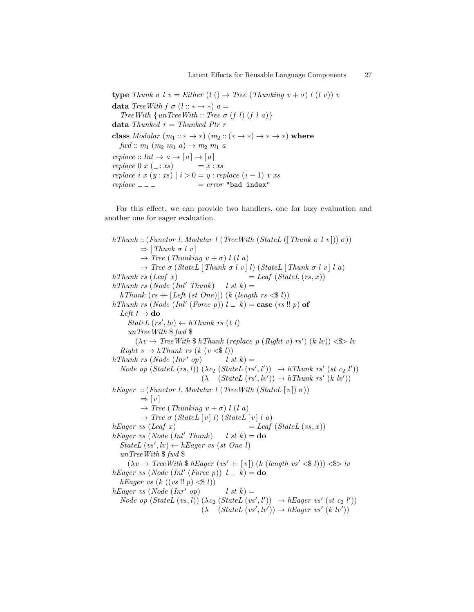type Thunk  $\sigma l$  v = Either  $(l) \rightarrow$  Tree (Thunking v +  $\sigma$ ) l  $(l$  v)) v data TreeWith  $f \sigma (l :: * \rightarrow *) a =$ Tree With  $\{unTreeWith : Tree \sigma(f l) (f l a)\}$ data Thunked  $r = Thunked$  Ptr r class *Modular*  $(m_1 :: * \rightarrow *)$   $(m_2 :: (* \rightarrow *) \rightarrow * \rightarrow *)$  where  $fwd :: m_1$   $(m_2 m_1 a) \rightarrow m_2 m_1 a$  $replace :: Int \rightarrow a \rightarrow [a] \rightarrow [a]$ replace  $0 \ x \ (-:xs) = x : xs$ replace i x  $(y : xs) | i > 0 = y : replace (i - 1) x$  xs  $replace = -$  =  $error$  "bad index"

For this effect, we can provide two handlers, one for lazy evaluation and another one for eager evaluation.

hThunk ::  $(Functor \, l, \, Modular \, l \, (TreeWith \, (StateL \, ([ \, Thunk \, \sigma \, l \, v])) \, \sigma))$  $\Rightarrow$  [Thunk  $\sigma$  l v]  $\rightarrow$  Tree (Thunking  $v + \sigma$ ) l (l a)  $\rightarrow$  Tree  $\sigma$  (StateL [Thunk  $\sigma$  l v] l) (StateL [Thunk  $\sigma$  l v] l a) hThunk rs  $(Leaf \ x)$  = Leaf  $(StateL (rs, x))$ hThunk rs (Node (Inl' Thunk) l st k) = hThunk  $(rs + [Left (st One)]) (k (length rs < \$ l))$ hThunk rs (Node (Inl' (Force p))  $l = k$ ) = case (rs !! p) of Left  $t \to$ **do**  $StateL (rs', lw) \leftarrow hThunk rs (t \ l)$ unTreeWith \$ fwd \$  $(\lambda v \rightarrow TreeWith \$ hThunk (replace p (Right v) rs') (k iv)) \leq S$  $Right \ v \rightarrow hThunk \ rs \ (k \ (v \lll 1))$ hThunk rs (Node (Inr' op)  $l$  st k) =  $Node\ op\ (StateL (rs, l)) (\lambda c_2 (StateL (rs', l')) \rightarrow hThunk rs' (st c_2 l'))$  $(\lambda \quad (StateL (rs', bv')) \rightarrow hThunk rs' (k'w'))$ hEager :: (Functor l, Modular l (TreeWith (StateL  $[v]$ )  $\sigma$ ))  $\Rightarrow$   $|v|$  $\rightarrow$  Tree (Thunking  $v + \sigma$ ) l (l a)  $\rightarrow$  Tree  $\sigma$  (StateL [v] l) (StateL [v] l a)  $hEager vs (Leaf x) = Leaf (StateL (vs, x))$ hEager vs (Node (Inl' Thunk) l st k) =  $d\mathbf{o}$  $StateL (vs', lw) \leftarrow hEager vs (st One l)$ unTreeWith \$ fwd \$  $(\lambda v \rightarrow TreeWith \$ hEager (vs' + [v]) (k (length vs' < \$ l))) < \$ hEager vs (Node (Inl' (Force p))  $l = k$ ) = do hEager vs  $(k ((vs!! p) \leq \ell))$ hEager vs (Node (Inr' op) l st k) =  $Node op (StateL (vs, l)) (\lambda c_2 (StateL (vs', l')) \rightarrow hEager vs' (st c_2 l'))$  $(\lambda \quad (StateL (vs', bv')) \rightarrow hEager vs' (k'w'))$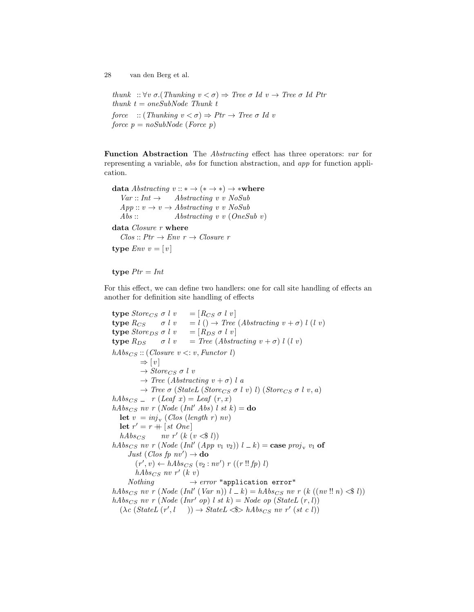thunk ::  $\forall v \sigma$ . (Thunking  $v < \sigma$ )  $\Rightarrow$  Tree  $\sigma$  Id  $v \rightarrow$  Tree  $\sigma$  Id Ptr thunk  $t = oneSubNode$  Thunk  $t$ force ::  $(Thunking \, v < \sigma) \Rightarrow Ptr \rightarrow Tree \, \sigma \, Id \, v$ force  $p = noSubNode$  (Force p)

Function Abstraction The Abstracting effect has three operators: var for representing a variable, abs for function abstraction, and app for function application.

```
data Abstracting v :: * \rightarrow (* \rightarrow *) \rightarrow * where
   Var:: Int \rightarrow Abstracting \ v \ v \ NoSubApp:: v \rightarrow v \rightarrow Abstracting \ v \ v \ NoSubAbs :: Abstracting v v (OneSub v)
data Closure r where
   Clos :: Ptr \rightarrow Env \ r \rightarrow Closure \ rtype Env v = [v]
```
### type  $Ptr = Int$

For this effect, we can define two handlers: one for call site handling of effects an another for definition site handling of effects

type  $Store_{CS} \sigma l v = [R_{CS} \sigma l v]$ <br>type  $R_{CS} \sigma l v = l () \rightarrow Tree$ type  $R_{CS}$   $\sigma l v = l$  ()  $\rightarrow$  Tree (Abstracting  $v + \sigma$ ) l (l v)<br>type  $Store_{DS}$   $\sigma l v = [R_{DS} \sigma l v]$ type  $Store_{DS} \sigma l v$ type  $R_{DS}$   $\sigma l v$  = Tree (Abstracting  $v + \sigma$ ) l (l v)  $hAbs_{CS}::(Closure\ v \lt: v, Function\ l)$  $\Rightarrow$  [v]  $\rightarrow Store_{CS} \sigma l$  v  $\rightarrow$  Tree (Abstracting  $v + \sigma$ ) l a  $\rightarrow$  Tree  $\sigma$  (StateL (Store<sub>CS</sub>  $\sigma$  l v) l) (Store<sub>CS</sub>  $\sigma$  l v, a)  $hAbs_{CS}$  –  $r$  (Leaf x) = Leaf  $(r, x)$ hAbs<sub>CS</sub> nv r (Node (Inl' Abs) l st k) = do  $\textbf{let } v = inj_{v} (Clos (length r) nv)$ let  $r' = r + \lfloor st \text{ One } \rfloor$  $hAbs_{CS}$ nv r'  $(k \ (v \ \leq \ \ 1))$ hAbs<sub>CS</sub> nv r (Node (Inl' (App v<sub>1</sub> v<sub>2</sub>))  $l = k$ ) = case proj<sub>v</sub> v<sub>1</sub> of  $Just (Clos fp nv') \rightarrow$ **do**  $(r', v) \leftarrow hAbs_{CS}(v_2: nv') r ((r!!fp) l)$  $hAbs_{CS}$  nv r'  $(k$  v)  $Nothing \rightarrow error$  "application error" hAbs<sub>CS</sub> nv r (Node (Inl' (Var n))  $l = k$ ) = hAbs<sub>CS</sub> nv r (k ((nv !! n) <\\ \text{1}))  $hAbs_{CS}$  nv r (Node (Inr' op) l st k) = Node op (StateL  $(r, l)$ )  $(\lambda c \; (StateL (r', l \quad)) \rightarrow StateL \ll\gg hAbs_{CS} \; nv \; r' \; (st \; c \; l))$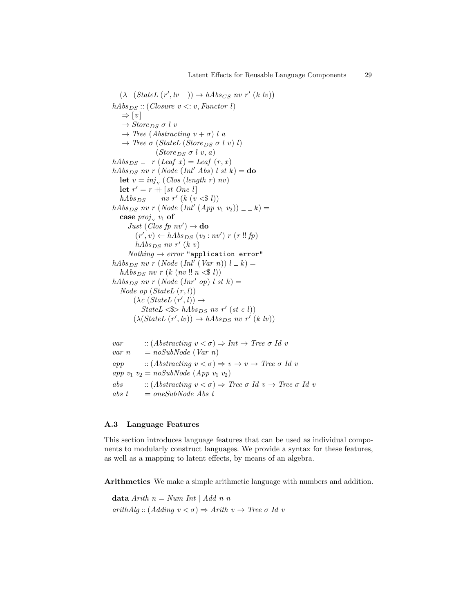$(\lambda \quad (StateL (r',lv)) \rightarrow hAbs_{CS} \; nv \; r' \; (k \; l v))$  $hAbs_{DS} :: (Closure\ v \lt: v, Function\ l)$  $\Rightarrow$  [v]  $\rightarrow Store_{DS} \sigma l v$  $\rightarrow$  Tree (Abstracting  $v + \sigma$ ) l a  $\rightarrow$  Tree  $\sigma$  (StateL (Store<sub>DS</sub>  $\sigma$  l v) l) (Store<sub>DS</sub>  $\sigma$  l v, a)  $hAbs_{DS} = r (Leaf x) = Leaf (r, x)$ hAbs<sub>DS</sub> nv r (Node (Inl' Abs) l st k) = do **let**  $v = inj_v (Clos (length r) nv)$ let  $r' = r + \lfloor st \text{ One } l \rfloor$  $hAbs_{DS}$ nv r'  $(k \ (v \ \leq \ \ 1))$  $hAbs_{DS}$  nv r (Node (Inl' (App  $v_1$   $v_2$ ))  $k$ )  $=$ case  $\text{proj}_{\text{v}} \ v_1$  of  $Just (Clos fp nv') \rightarrow$ **do**  $(r', v) \leftarrow hAbs_{DS}(v_2: nv') r(r!!fp)$  $hAbs_{DS}$  nv r'  $(k$  v)  $Nothing \rightarrow error$  "application error"  $hAbs_{DS}$  nv r (Node (Inl' (Var n))  $l = k$ ) = hAbs<sub>DS</sub> nv r  $(k$   $(nv$ !!  $n \leq \ell)$  $hAbs_{DS}$  nv r (Node (Inr' op) l st k) = Node op  $(StateL(r, l))$  $(\lambda c \; (StateL (r', l)) \rightarrow$  $StateL \ll b> hAbs_{DS}$  nv r' (st c l))  $(\lambda(StateL(r', w)) \rightarrow hAbs_{DS} \, nv \, r' \, (k \, w))$ 

```
var :: (Abstractionq \ v < \sigma) \Rightarrow Int \rightarrow Tree \ \sigma \ Id \ vvar n = noSubNode (Var n)
app :: (Abstracting \, v \leq \sigma) \Rightarrow v \rightarrow v \Rightarrow Tree \, \sigma \, Id \, vapp v_1 v_2 = noSubNode (App v_1 v_2)
abs :: (Abstractiong \ v < \sigma) \Rightarrow Tree \ \sigma \ Id \ v \rightarrow Tree \ \sigma \ Id \ vabs t = oneSubNode Abs t
```
### A.3 Language Features

This section introduces language features that can be used as individual components to modularly construct languages. We provide a syntax for these features, as well as a mapping to latent effects, by means of an algebra.

Arithmetics We make a simple arithmetic language with numbers and addition.

data Arith  $n = Num Int | Add n$  $arithAlg :: (Adding \, v < \sigma) \Rightarrow Arith \, v \rightarrow Tree \, \sigma Id \, v$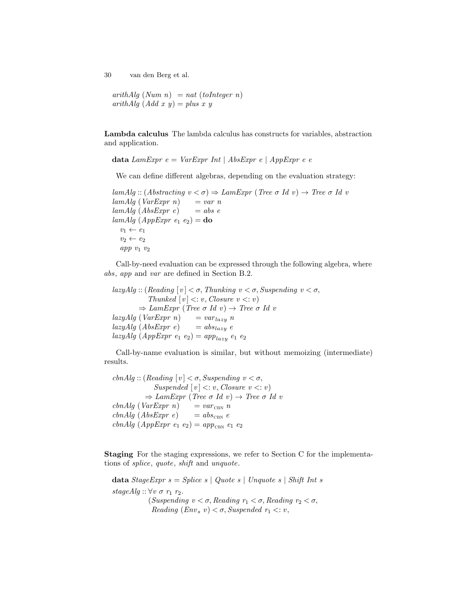$arithAlg (Num n) = nat (tolnteger n)$  $arithAlg (Add x y) = plus x y$ 

Lambda calculus The lambda calculus has constructs for variables, abstraction and application.

data LamExpr  $e = VarExpr Int | AbsExpr e | AppExpr e e$ 

We can define different algebras, depending on the evaluation strategy:

```
lambdalg :: (Abstracting v < \sigma) \Rightarrow LamExpr (Tree \sigma Id v) \rightarrow Tree \sigma Id vlamAlg (VarExpr n) = var n
lambdalg (AbsExpre) = abs elamAlg (AppExpr e_1 e_2) =do
  v_1 \leftarrow e_1v_2 \leftarrow e_2app v_1 v_2
```
Call-by-need evaluation can be expressed through the following algebra, where abs, app and var are defined in Section B.2.

```
lazyAlg :: (Reading [v] < \sigma, Thunking v < \sigma, Suspending v < \sigma,Thunked [v] \le v, Closure v \le v)
         \Rightarrow LamExpr (Tree \sigma Id v) \rightarrow Tree \sigma Id v
lazyAlg (VarExpr n) = var<sub>lazu</sub> nlazyAlg (Absexpr e) = abs_{lazy} elazyAlg (AppExpr e_1 e_2) = app_{lazy} e_1 e_2
```
Call-by-name evaluation is similar, but without memoizing (intermediate) results.

cbnAlg :: (Reading  $[v] < \sigma$ , Suspending  $v < \sigma$ , Suspended  $[v] \leq v$ , Closure  $v \leq v$ )  $\Rightarrow$  LamExpr (Tree  $\sigma$  Id v)  $\rightarrow$  Tree  $\sigma$  Id v  $cbnAlg (VarExpr n) = var_{CBN} n$ cbnAlg  $(AbsExpr e)$  = abs<sub>cBN</sub> e cbnAlg (AppExpr  $e_1$   $e_2$ ) = app<sub>CBN</sub>  $e_1$   $e_2$ 

Staging For the staging expressions, we refer to Section C for the implementations of splice, quote, shift and unquote.

data StageExpr  $s = Splice \ s \ | \ Quote \ s \ | \ Unquote \ s \ | \ Shift \ Int \ s$ stageAlg  $:: \forall v \sigma r_1 r_2$ . (Suspending  $v < \sigma$ , Reading  $r_1 < \sigma$ , Reading  $r_2 < \sigma$ , Reading  $(Env_s v) < \sigma$ , Suspended  $r_1 < v$ ,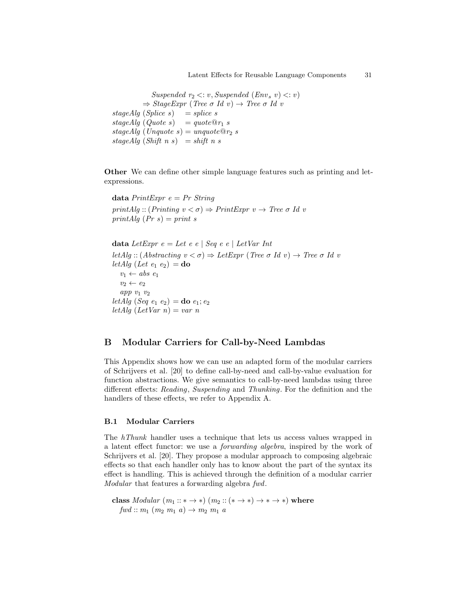Suspended  $r_2 \leq v$ , Suspended (Env<sub>s</sub> v)  $\leq v$ )  $\Rightarrow$  StageExpr (Tree  $\sigma$  Id v)  $\rightarrow$  Tree  $\sigma$  Id v stageAlg (Splice s) = splice s stageAlg (Quote s) =  $\mathit{quote} \, \mathit{s}$ ) stageAlg (Unquote s) = unquote  $@r_2$  s stageAlg (Shift n s) = shift n s

Other We can define other simple language features such as printing and letexpressions.

```
data PrintError e = Pr StringprintAlg :: (Printing v < \sigma) \Rightarrow PrintExpr v \rightarrow Tree \sigma Id v
printAlg (Pr s) = print s
```

```
data LetExpr e = Let e e | Seq e e | Let Var IntletAlg :: (Abstracting v < \sigma) \Rightarrow LetExpr (Tree \sigma Id v) \rightarrow Tree \sigma Id v
letAlg (Let e_1 e_2) = do
  v_1 \leftarrow abs\ e_1v_2 \leftarrow e_2app v_1 v_2letAlg (Seq e_1 e_2) = do e_1; e_2letAlg (LetVar n) = var n
```
# B Modular Carriers for Call-by-Need Lambdas

This Appendix shows how we can use an adapted form of the modular carriers of Schrijvers et al. [20] to define call-by-need and call-by-value evaluation for function abstractions. We give semantics to call-by-need lambdas using three different effects: Reading, Suspending and Thunking. For the definition and the handlers of these effects, we refer to Appendix A.

### B.1 Modular Carriers

The hThunk handler uses a technique that lets us access values wrapped in a latent effect functor: we use a forwarding algebra, inspired by the work of Schrijvers et al. [20]. They propose a modular approach to composing algebraic effects so that each handler only has to know about the part of the syntax its effect is handling. This is achieved through the definition of a modular carrier Modular that features a forwarding algebra fwd.

class *Modular*  $(m_1 :: * \rightarrow *)$   $(m_2 :: (* \rightarrow *) \rightarrow * \rightarrow *)$  where  $fwd :: m_1$   $(m_2 m_1 a) \rightarrow m_2 m_1 a$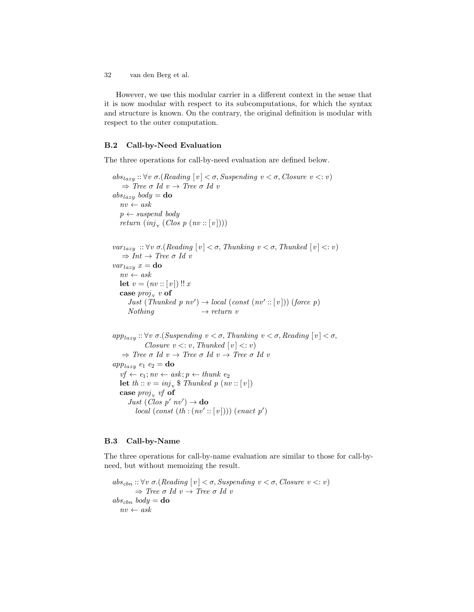However, we use this modular carrier in a different context in the sense that it is now modular with respect to its subcomputations, for which the syntax and structure is known. On the contrary, the original definition is modular with respect to the outer computation.

### B.2 Call-by-Need Evaluation

The three operations for call-by-need evaluation are defined below.

```
abs_{lazy}::\forall v \sigma. (Reading [v] < \sigma, Suspending v < \sigma, Closure v <: v)\Rightarrow Tree \sigma Id v \rightarrow Tree \sigma Id vabs_{lazy} body = do
   nv \leftarrow askp \leftarrow suspend \text{ body}return \left( inj_{v} \left( Clos \ p \left( nv : : [v] \right) \right) \right)var_{lazy} :: \forall v \ \sigma. (Reading [v] < \sigma, Thunking \ v < \sigma, Thunked [v] <: v)\Rightarrow Int \rightarrow Tree \sigma Id \nuvar_{lazy} x =do
   nv \leftarrow asklet v = (nv : [v])!!xcase \textit{proj}_{\text{v}}\text{ }v\text{ } of
       Just (Thunked p nv') \rightarrow local (const (nv':: [v])) (force p)
      Nothing \rightarrow return \ vapp_{lazy} :: \forall v \sigma. (Suspending v < \sigma, Thunking v < \sigma, Reading [v] < \sigma,
              Closure v \le v, Thunked [v] \le v\Rightarrow Tree \sigma Id v \rightarrow Tree \sigma Id v \rightarrow Tree \sigma Id vapp_{lazy} e_1 e_2 =do
   vf \leftarrow e_1; nv \leftarrow ask; p \leftarrow thunk \ e_2let th :: v = inj_v \ Thunked p (nv :: [v])
   case \text{proj}_{\text{v}} vf of
       Just (Clos p' nv') \rightarrow dolocal (const (th:(nv': [v]))) (enact p')
```
# B.3 Call-by-Name

The three operations for call-by-name evaluation are similar to those for call-byneed, but without memoizing the result.

 $abs_{cbn}$ ::  $\forall v \sigma$ . (Reading  $[v] < \sigma$ , Suspending  $v < \sigma$ , Closure  $v < v$ )  $\Rightarrow$  Tree  $\sigma$  Id  $v \rightarrow$  Tree  $\sigma$  Id  $v$  $abs_{cbn}$  body = do  $nv \leftarrow ask$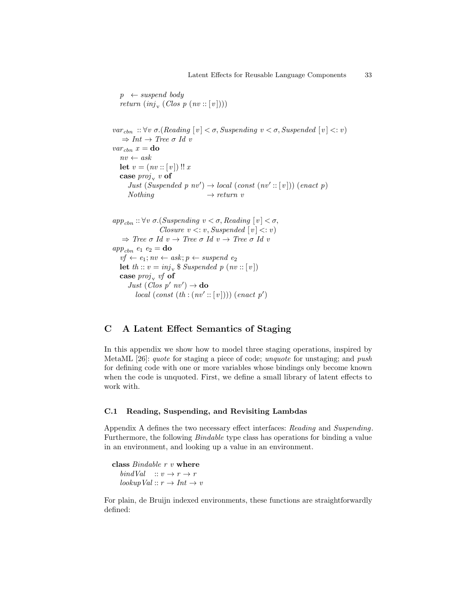$p \leftarrow suspend \text{ body}$ return  $\left( inj_{v} \left( Clos \ p \left( nv : : [v] \right) \right) \right)$  $var_{cbn}$ :  $\forall v \sigma$ . (Reading  $[v] < \sigma$ , Suspending  $v < \sigma$ , Suspended  $[v] < v$ )  $\Rightarrow Int \rightarrow Tree \; \sigma \; Id \; v$  $var_{cbn} x =$ **do**  $nv \leftarrow ask$ **let**  $v = (nv : [v])!!x$ case  $\textit{proj}_{\text{v}}\text{ }v\text{ }$  of Just (Suspended p  $nv' \rightarrow local (const (nv' :: [v])) (enact p)$  $\text{Nothing} \rightarrow \text{return } v$  $app_{cbn}$  ::  $\forall v \sigma$ . (Suspending  $v < \sigma$ , Reading  $[v] < \sigma$ , Closure  $v \le v$ , Suspended  $[v] \le v$  $\Rightarrow$  Tree  $\sigma$  Id  $v \rightarrow$  Tree  $\sigma$  Id  $v \rightarrow$  Tree  $\sigma$  Id  $v$  $app_{cbn}$   $e_1$   $e_2$  = do  $vf \leftarrow e_1; nv \leftarrow ask; p \leftarrow suspend \ e_2$ 

# let th ::  $v = inj_v \$  Suspended p (nv :: [v]) case  $\text{proj}_{\text{v}}$  vf of  $Just (Clos p' nv') \rightarrow$ **do**  $local (const (th:(nv': [v])) (enact p')$

### C A Latent Effect Semantics of Staging

In this appendix we show how to model three staging operations, inspired by MetaML [26]: quote for staging a piece of code; unquote for unstaging; and push for defining code with one or more variables whose bindings only become known when the code is unquoted. First, we define a small library of latent effects to work with.

### C.1 Reading, Suspending, and Revisiting Lambdas

Appendix A defines the two necessary effect interfaces: Reading and Suspending. Furthermore, the following Bindable type class has operations for binding a value in an environment, and looking up a value in an environment.

class Bindable r v where bindVal  $:: v \rightarrow r \rightarrow r$  $\textit{lookupVal} :: r \rightarrow \textit{Int} \rightarrow v$ 

For plain, de Bruijn indexed environments, these functions are straightforwardly defined: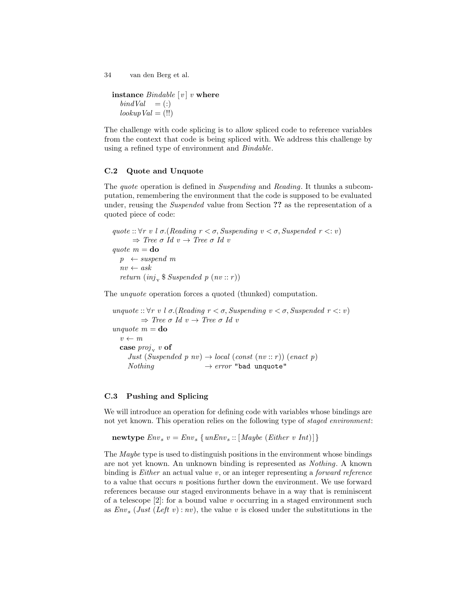instance  $\text{Bindable } [v]$  v where  $bindVal =$  (:)  $\textit{lookupVal} = (!!)$ 

The challenge with code splicing is to allow spliced code to reference variables from the context that code is being spliced with. We address this challenge by using a refined type of environment and Bindable.

### C.2 Quote and Unquote

The *quote* operation is defined in *Suspending* and *Reading*. It thunks a subcomputation, remembering the environment that the code is supposed to be evaluated under, reusing the Suspended value from Section ?? as the representation of a quoted piece of code:

```
quote :: \forall r \ v \ l \ \sigma.(Reading r < \sigma, Suspending v < \sigma, Suspended r < v)
        \Rightarrow Tree \sigma Id v \rightarrow Tree \sigma Id vquote m =do
  p \leftarrow suspend \ mnv \leftarrow askreturn (inj_{v}, \ Suspended p (nv:: r))
```
The *unquote* operation forces a quoted (thunked) computation.

unquote ::  $\forall r \ v \ l \ \sigma$ . (Reading  $r < \sigma$ , Suspending  $v < \sigma$ , Suspended  $r < v$ )  $\Rightarrow$  Tree  $\sigma$  Id  $v \rightarrow$  Tree  $\sigma$  Id  $v$ unquote  $m =$ **do**  $v \leftarrow m$ case  $\textit{proj}_{\text{v}}\text{ }v\text{ }$  of Just (Suspended p nv)  $\rightarrow$  local (const (nv :: r)) (enact p)  $Nothing \rightarrow error$  "bad unquote"

### C.3 Pushing and Splicing

We will introduce an operation for defining code with variables whose bindings are not yet known. This operation relies on the following type of staged environment:

```
newtype Env_s v = Env_s {unEnv_s :: [Maybe (Either v Int)]}
```
The *Maybe* type is used to distinguish positions in the environment whose bindings are not yet known. An unknown binding is represented as Nothing. A known binding is *Either* an actual value  $v$ , or an integer representing a *forward reference* to a value that occurs n positions further down the environment. We use forward references because our staged environments behave in a way that is reminiscent of a telescope  $[2]$ : for a bound value v occurring in a staged environment such as  $Env_s$  (*Just (Left v)*: *nv*), the value v is closed under the substitutions in the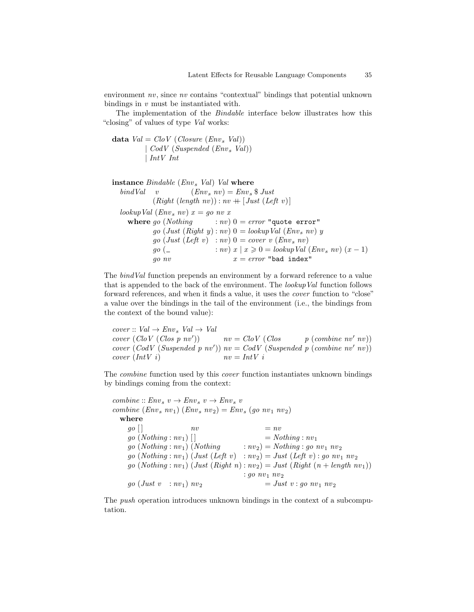environment nv, since nv contains "contextual" bindings that potential unknown bindings in v must be instantiated with.

The implementation of the Bindable interface below illustrates how this "closing" of values of type Val works:

```
data Val = CloV (Closure (Env<sub>s</sub> Val))
            \vert \text{ CodV (Suspended (Env_s Val))}| IntV Int
```

```
instance Bindable (Env<sub>s</sub> Val) Val where
  bindVal v (Env_s \; nv) = Env_s \; \$ \; Just(Right (length nv)) : nv + [Just (Left v)]\ell \in \mathbb{R} lookup Val (\mathit{Env}_s \ n v) \ x = go \ n v \ xwhere go (Nothing : nv)) = error "quote error"
             g \circ (Just (Right y) : nv) \circ (1) = lookupVal (Env_s nv) yg_0 (Just (Left v) : nv) 0 = cover \ v (Env \ n v)g \circ ( : nv) x \mid x \geq 0 = lookupVal (Env<sub>s</sub> nv) (x - 1)go\;nv x = error "bad index"
```
The bindVal function prepends an environment by a forward reference to a value that is appended to the back of the environment. The  $\ell \in \mathbb{R}^n$  function follows forward references, and when it finds a value, it uses the cover function to "close" a value over the bindings in the tail of the environment (i.e., the bindings from the context of the bound value):

```
cover :: Val \rightarrow Env_s Val \rightarrow Valcover (CloV (Clos p nv'))nv = CloV (Clos \t p (combine nv' nv))cover (CodV (Suspended p n v')) nv = CodV (Suspended p (combine n v' n v))cover (IntV i) nv = IntV i
```
The combine function used by this cover function instantiates unknown bindings by bindings coming from the context:

```
combine :: Env_s v \rightarrow Env_s v \rightarrow Env_s vcombine (Env_s nv_1) (Env_s nv_2) = Env_s (qo nv_1 nv_2)where
    g \circ [ ] nv = nv
    g \circ (Nothing : nv_1) \begin{bmatrix} \end{bmatrix} = Nothing : nv_1go (Nothing : nv_1) (Nothing : nv_2) = Nothing : go nv_1 nv_2go (Nothing: nv_1) (Just (Left v) : nv_2) = Just (Left v): go nv_1 nv_2go (Nothing : nv_1) (Just (Right n) : nv_2) = Just (Right (n + length\ nv_1))
                                        : go\ nv_1\ nv_2g \circ (Just \ v \ : nv_1) \ nv_2 = Just \ v : go \ nv_1 \ nv_2
```
The *push* operation introduces unknown bindings in the context of a subcomputation.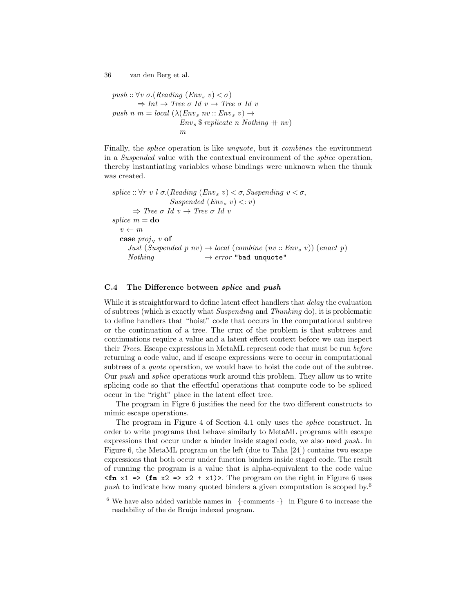```
push :: \forall v \sigma.(Reading (Env<sub>s</sub> v) < \sigma)
            \Rightarrow Int \rightarrow Tree \; \sigma \; Id \; v \rightarrow Tree \; \sigma \; Id \; vpush n m = local \ (\lambda(Env_s \ nv : Env_s \ v) \rightarrowEnv_s $ replicate n Nothing + nvm
```
Finally, the *splice* operation is like *unquote*, but it *combines* the environment in a Suspended value with the contextual environment of the splice operation, thereby instantiating variables whose bindings were unknown when the thunk was created.

splice ::  $\forall r \, v \, l \, \sigma$ . (Reading  $(Env_s \, v) < \sigma$ , Suspending  $v < \sigma$ , Suspended  $(Env, v) \le v$  $\Rightarrow$  Tree  $\sigma$  Id  $v \rightarrow$  Tree  $\sigma$  Id  $v$ splice  $m =$ **do**  $v \leftarrow m$ case  $\textit{proj}_{\text{v}} \text{ } v \text{ }$  of Just (Suspended p nv)  $\rightarrow$  local (combine (nv :: Env<sub>s</sub> v)) (enact p)  $Nothing \rightarrow error$  "bad unquote"

#### C.4 The Difference between splice and push

While it is straightforward to define latent effect handlers that *delay* the evaluation of subtrees (which is exactly what Suspending and Thunking do), it is problematic to define handlers that "hoist" code that occurs in the computational subtree or the continuation of a tree. The crux of the problem is that subtrees and continuations require a value and a latent effect context before we can inspect their Trees. Escape expressions in MetaML represent code that must be run before returning a code value, and if escape expressions were to occur in computational subtrees of a *quote* operation, we would have to hoist the code out of the subtree. Our push and splice operations work around this problem. They allow us to write splicing code so that the effectful operations that compute code to be spliced occur in the "right" place in the latent effect tree.

The program in Figre 6 justifies the need for the two different constructs to mimic escape operations.

The program in Figure 4 of Section 4.1 only uses the splice construct. In order to write programs that behave similarly to MetaML programs with escape expressions that occur under a binder inside staged code, we also need push. In Figure 6, the MetaML program on the left (due to Taha [24]) contains two escape expressions that both occur under function binders inside staged code. The result of running the program is a value that is alpha-equivalent to the code value  $\sin x1 = \sin x2 = \sin x2 + \sin x1$ . The program on the right in Figure 6 uses push to indicate how many quoted binders a given computation is scoped by.<sup>6</sup>

 $6$  We have also added variable names in {-comments -} in Figure 6 to increase the readability of the de Bruijn indexed program.